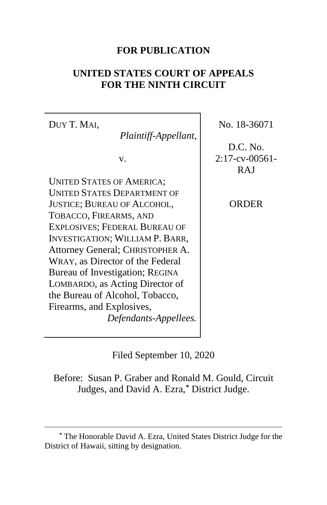## **FOR PUBLICATION**

## **UNITED STATES COURT OF APPEALS FOR THE NINTH CIRCUIT**

DUY T. MAI, *Plaintiff-Appellant*, v. UNITED STATES OF AMERICA; UNITED STATES DEPARTMENT OF JUSTICE; BUREAU OF ALCOHOL, TOBACCO, FIREARMS, AND EXPLOSIVES; FEDERAL BUREAU OF INVESTIGATION; WILLIAM P. BARR, Attorney General; CHRISTOPHER A. WRAY, as Director of the Federal Bureau of Investigation; REGINA LOMBARDO, as Acting Director of the Bureau of Alcohol, Tobacco, Firearms, and Explosives, *Defendants-Appellees.*

No. 18-36071

D.C. No. 2:17-cv-00561- **RAI** 

ORDER

Filed September 10, 2020

Before: Susan P. Graber and Ronald M. Gould, Circuit Judges, and David A. Ezra,**[\\*](#page-0-0)** District Judge.

<span id="page-0-0"></span>**<sup>\*</sup>** The Honorable David A. Ezra, United States District Judge for the District of Hawaii, sitting by designation.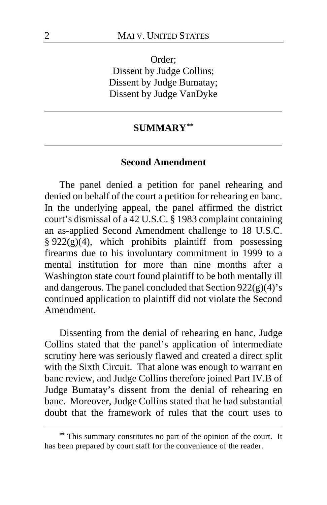Order; Dissent by Judge Collins; Dissent by Judge Bumatay; Dissent by Judge VanDyke

## **SUMMARY[\\*\\*](#page-1-0)**

#### **Second Amendment**

The panel denied a petition for panel rehearing and denied on behalf of the court a petition for rehearing en banc. In the underlying appeal, the panel affirmed the district court's dismissal of a 42 U.S.C. § 1983 complaint containing an as-applied Second Amendment challenge to 18 U.S.C.  $§ 922(g)(4)$ , which prohibits plaintiff from possessing firearms due to his involuntary commitment in 1999 to a mental institution for more than nine months after a Washington state court found plaintiff to be both mentally ill and dangerous. The panel concluded that Section 922(g)(4)'s continued application to plaintiff did not violate the Second Amendment.

Dissenting from the denial of rehearing en banc, Judge Collins stated that the panel's application of intermediate scrutiny here was seriously flawed and created a direct split with the Sixth Circuit. That alone was enough to warrant en banc review, and Judge Collins therefore joined Part IV.B of Judge Bumatay's dissent from the denial of rehearing en banc. Moreover, Judge Collins stated that he had substantial doubt that the framework of rules that the court uses to

<span id="page-1-0"></span>**<sup>\*\*</sup>** This summary constitutes no part of the opinion of the court. It has been prepared by court staff for the convenience of the reader.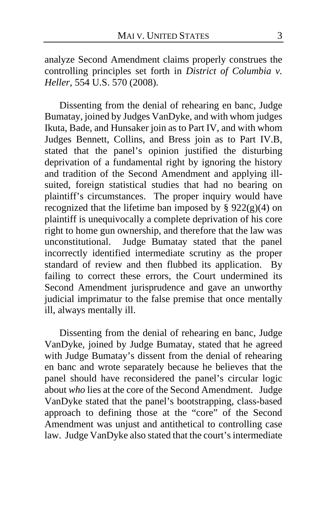analyze Second Amendment claims properly construes the controlling principles set forth in *District of Columbia v. Heller*, 554 U.S. 570 (2008).

Dissenting from the denial of rehearing en banc, Judge Bumatay, joined by Judges VanDyke, and with whom judges Ikuta, Bade, and Hunsaker join as to Part IV, and with whom Judges Bennett, Collins, and Bress join as to Part IV.B, stated that the panel's opinion justified the disturbing deprivation of a fundamental right by ignoring the history and tradition of the Second Amendment and applying illsuited, foreign statistical studies that had no bearing on plaintiff's circumstances. The proper inquiry would have recognized that the lifetime ban imposed by  $\S 922(g)(4)$  on plaintiff is unequivocally a complete deprivation of his core right to home gun ownership, and therefore that the law was unconstitutional. Judge Bumatay stated that the panel incorrectly identified intermediate scrutiny as the proper standard of review and then flubbed its application. By failing to correct these errors, the Court undermined its Second Amendment jurisprudence and gave an unworthy judicial imprimatur to the false premise that once mentally ill, always mentally ill.

Dissenting from the denial of rehearing en banc, Judge VanDyke, joined by Judge Bumatay, stated that he agreed with Judge Bumatay's dissent from the denial of rehearing en banc and wrote separately because he believes that the panel should have reconsidered the panel's circular logic about *who* lies at the core of the Second Amendment. Judge VanDyke stated that the panel's bootstrapping, class-based approach to defining those at the "core" of the Second Amendment was unjust and antithetical to controlling case law. Judge VanDyke also stated that the court's intermediate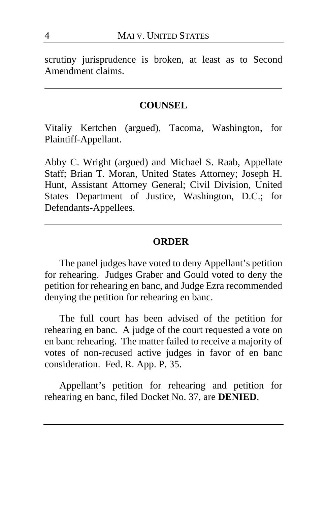scrutiny jurisprudence is broken, at least as to Second Amendment claims.

### **COUNSEL**

Vitaliy Kertchen (argued), Tacoma, Washington, for Plaintiff-Appellant.

Abby C. Wright (argued) and Michael S. Raab, Appellate Staff; Brian T. Moran, United States Attorney; Joseph H. Hunt, Assistant Attorney General; Civil Division, United States Department of Justice, Washington, D.C.; for Defendants-Appellees.

### **ORDER**

The panel judges have voted to deny Appellant's petition for rehearing. Judges Graber and Gould voted to deny the petition for rehearing en banc, and Judge Ezra recommended denying the petition for rehearing en banc.

The full court has been advised of the petition for rehearing en banc. A judge of the court requested a vote on en banc rehearing. The matter failed to receive a majority of votes of non-recused active judges in favor of en banc consideration. Fed. R. App. P. 35.

Appellant's petition for rehearing and petition for rehearing en banc, filed Docket No. 37, are **DENIED**.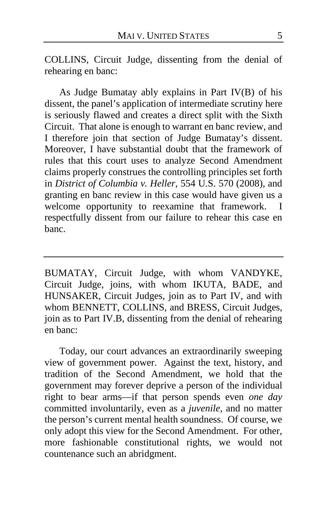COLLINS, Circuit Judge, dissenting from the denial of rehearing en banc:

As Judge Bumatay ably explains in Part IV(B) of his dissent, the panel's application of intermediate scrutiny here is seriously flawed and creates a direct split with the Sixth Circuit. That alone is enough to warrant en banc review, and I therefore join that section of Judge Bumatay's dissent. Moreover, I have substantial doubt that the framework of rules that this court uses to analyze Second Amendment claims properly construes the controlling principles set forth in *District of Columbia v. Heller*, 554 U.S. 570 (2008), and granting en banc review in this case would have given us a welcome opportunity to reexamine that framework. I respectfully dissent from our failure to rehear this case en banc.

BUMATAY, Circuit Judge, with whom VANDYKE, Circuit Judge, joins, with whom IKUTA, BADE, and HUNSAKER, Circuit Judges, join as to Part IV, and with whom BENNETT, COLLINS, and BRESS, Circuit Judges, join as to Part IV.B, dissenting from the denial of rehearing en banc:

Today, our court advances an extraordinarily sweeping view of government power. Against the text, history, and tradition of the Second Amendment, we hold that the government may forever deprive a person of the individual right to bear arms—if that person spends even *one day* committed involuntarily, even as a *juvenile,* and no matter the person's current mental health soundness. Of course, we only adopt this view for the Second Amendment. For other, more fashionable constitutional rights, we would not countenance such an abridgment.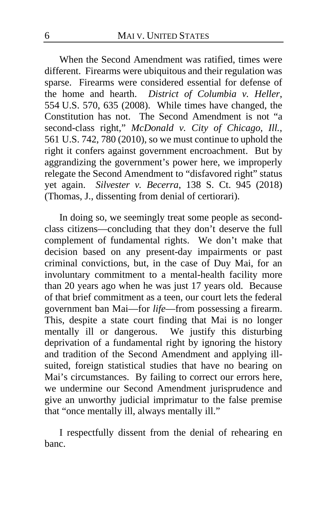When the Second Amendment was ratified, times were different. Firearms were ubiquitous and their regulation was sparse. Firearms were considered essential for defense of the home and hearth. *District of Columbia v. Heller*, 554 U.S. 570, 635 (2008). While times have changed, the Constitution has not. The Second Amendment is not "a second-class right," *McDonald v. City of Chicago, Ill.*, 561 U.S. 742, 780 (2010), so we must continue to uphold the right it confers against government encroachment. But by aggrandizing the government's power here, we improperly relegate the Second Amendment to "disfavored right" status yet again. *Silvester v. Becerra*, 138 S. Ct. 945 (2018) (Thomas, J., dissenting from denial of certiorari).

In doing so, we seemingly treat some people as secondclass citizens—concluding that they don't deserve the full complement of fundamental rights. We don't make that decision based on any present-day impairments or past criminal convictions, but, in the case of Duy Mai, for an involuntary commitment to a mental-health facility more than 20 years ago when he was just 17 years old. Because of that brief commitment as a teen, our court lets the federal government ban Mai—for *life*—from possessing a firearm. This, despite a state court finding that Mai is no longer mentally ill or dangerous. We justify this disturbing deprivation of a fundamental right by ignoring the history and tradition of the Second Amendment and applying illsuited, foreign statistical studies that have no bearing on Mai's circumstances. By failing to correct our errors here, we undermine our Second Amendment jurisprudence and give an unworthy judicial imprimatur to the false premise that "once mentally ill, always mentally ill."

I respectfully dissent from the denial of rehearing en banc.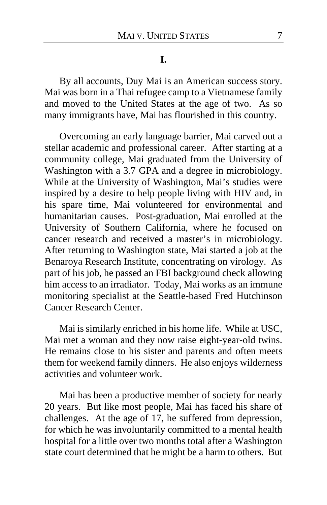**I.**

By all accounts, Duy Mai is an American success story. Mai was born in a Thai refugee camp to a Vietnamese family and moved to the United States at the age of two. As so many immigrants have, Mai has flourished in this country.

Overcoming an early language barrier, Mai carved out a stellar academic and professional career. After starting at a community college, Mai graduated from the University of Washington with a 3.7 GPA and a degree in microbiology. While at the University of Washington, Mai's studies were inspired by a desire to help people living with HIV and, in his spare time, Mai volunteered for environmental and humanitarian causes. Post-graduation, Mai enrolled at the University of Southern California, where he focused on cancer research and received a master's in microbiology. After returning to Washington state, Mai started a job at the Benaroya Research Institute, concentrating on virology. As part of his job, he passed an FBI background check allowing him access to an irradiator. Today, Mai works as an immune monitoring specialist at the Seattle-based Fred Hutchinson Cancer Research Center.

Mai is similarly enriched in his home life. While at USC, Mai met a woman and they now raise eight-year-old twins. He remains close to his sister and parents and often meets them for weekend family dinners. He also enjoys wilderness activities and volunteer work.

Mai has been a productive member of society for nearly 20 years. But like most people, Mai has faced his share of challenges. At the age of 17, he suffered from depression, for which he was involuntarily committed to a mental health hospital for a little over two months total after a Washington state court determined that he might be a harm to others. But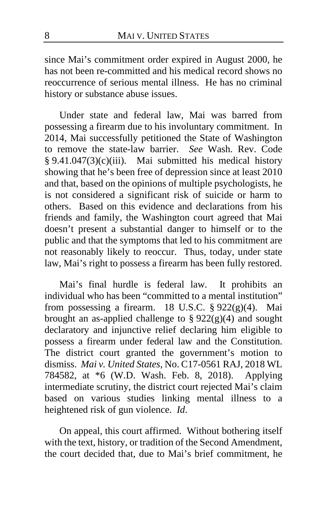since Mai's commitment order expired in August 2000, he has not been re-committed and his medical record shows no reoccurrence of serious mental illness. He has no criminal history or substance abuse issues.

Under state and federal law, Mai was barred from possessing a firearm due to his involuntary commitment. In 2014, Mai successfully petitioned the State of Washington to remove the state-law barrier. *See* Wash. Rev. Code § 9.41.047(3)(c)(iii). Mai submitted his medical history showing that he's been free of depression since at least 2010 and that, based on the opinions of multiple psychologists, he is not considered a significant risk of suicide or harm to others. Based on this evidence and declarations from his friends and family, the Washington court agreed that Mai doesn't present a substantial danger to himself or to the public and that the symptoms that led to his commitment are not reasonably likely to reoccur. Thus, today, under state law, Mai's right to possess a firearm has been fully restored.

Mai's final hurdle is federal law. It prohibits an individual who has been "committed to a mental institution" from possessing a firearm. 18 U.S.C. § 922(g)(4). Mai brought an as-applied challenge to  $\S 922(g)(4)$  and sought declaratory and injunctive relief declaring him eligible to possess a firearm under federal law and the Constitution. The district court granted the government's motion to dismiss. *Mai v. United States*, No. C17-0561 RAJ, 2018 WL 784582, at \*6 (W.D. Wash. Feb. 8, 2018). Applying intermediate scrutiny, the district court rejected Mai's claim based on various studies linking mental illness to a heightened risk of gun violence. *Id*.

On appeal, this court affirmed. Without bothering itself with the text, history, or tradition of the Second Amendment, the court decided that, due to Mai's brief commitment, he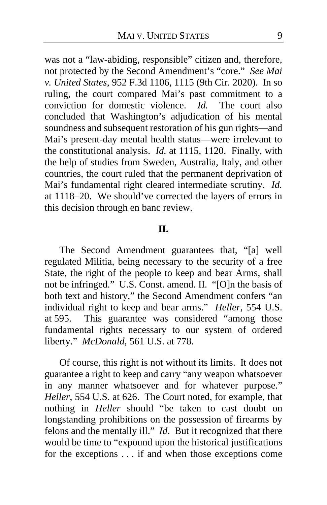was not a "law-abiding, responsible" citizen and, therefore, not protected by the Second Amendment's "core." *See Mai v. United States*, 952 F.3d 1106, 1115 (9th Cir. 2020). In so ruling, the court compared Mai's past commitment to a conviction for domestic violence. *Id.* The court also concluded that Washington's adjudication of his mental soundness and subsequent restoration of his gun rights—and Mai's present-day mental health status—were irrelevant to the constitutional analysis. *Id.* at 1115, 1120. Finally, with the help of studies from Sweden, Australia, Italy, and other countries, the court ruled that the permanent deprivation of Mai's fundamental right cleared intermediate scrutiny. *Id.* at 1118–20. We should've corrected the layers of errors in this decision through en banc review.

### **II.**

The Second Amendment guarantees that, "[a] well regulated Militia, being necessary to the security of a free State, the right of the people to keep and bear Arms, shall not be infringed." U.S. Const. amend. II. "[O]n the basis of both text and history," the Second Amendment confers "an individual right to keep and bear arms." *Heller*, 554 U.S. at 595. This guarantee was considered "among those fundamental rights necessary to our system of ordered liberty." *McDonald*, 561 U.S. at 778.

Of course, this right is not without its limits. It does not guarantee a right to keep and carry "any weapon whatsoever in any manner whatsoever and for whatever purpose." *Heller*, 554 U.S. at 626. The Court noted, for example, that nothing in *Heller* should "be taken to cast doubt on longstanding prohibitions on the possession of firearms by felons and the mentally ill." *Id*.But it recognized that there would be time to "expound upon the historical justifications for the exceptions . . . if and when those exceptions come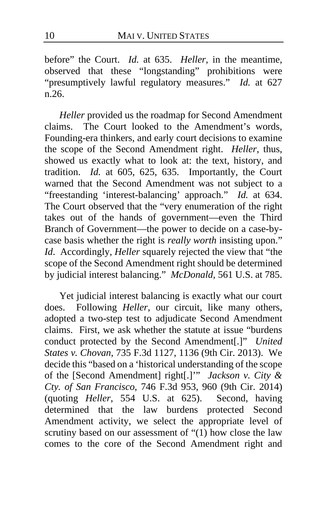before" the Court. *Id.* at 635. *Heller*, in the meantime, observed that these "longstanding" prohibitions were "presumptively lawful regulatory measures." *Id.* at 627 n.26.

*Heller* provided us the roadmap for Second Amendment claims. The Court looked to the Amendment's words, Founding-era thinkers, and early court decisions to examine the scope of the Second Amendment right. *Heller*, thus, showed us exactly what to look at: the text, history, and tradition. *Id.* at 605, 625, 635. Importantly, the Court warned that the Second Amendment was not subject to a "freestanding 'interest-balancing' approach." *Id.* at 634. The Court observed that the "very enumeration of the right takes out of the hands of government—even the Third Branch of Government—the power to decide on a case-bycase basis whether the right is *really worth* insisting upon." *Id*. Accordingly, *Heller* squarely rejected the view that "the scope of the Second Amendment right should be determined by judicial interest balancing." *McDonald*, 561 U.S. at 785.

Yet judicial interest balancing is exactly what our court does. Following *Heller*, our circuit, like many others, adopted a two-step test to adjudicate Second Amendment claims. First, we ask whether the statute at issue "burdens conduct protected by the Second Amendment[.]" *United States v. Chovan*, 735 F.3d 1127, 1136 (9th Cir. 2013). We decide this "based on a 'historical understanding of the scope of the [Second Amendment] right[.]'" *Jackson v. City & Cty. of San Francisco*, 746 F.3d 953, 960 (9th Cir. 2014) (quoting *Heller*, 554 U.S. at 625). Second, having determined that the law burdens protected Second Amendment activity, we select the appropriate level of scrutiny based on our assessment of "(1) how close the law comes to the core of the Second Amendment right and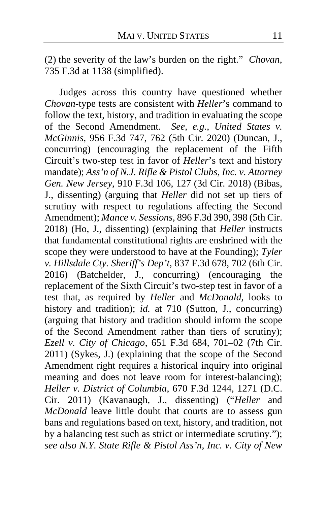(2) the severity of the law's burden on the right." *Chovan*, 735 F.3d at 1138 (simplified).

Judges across this country have questioned whether *Chovan*-type tests are consistent with *Heller*'s command to follow the text, history, and tradition in evaluating the scope of the Second Amendment. *See, e.g.*, *United States v. McGinnis*, 956 F.3d 747, 762 (5th Cir. 2020) (Duncan, J., concurring) (encouraging the replacement of the Fifth Circuit's two-step test in favor of *Heller*'s text and history mandate); *Ass'n of N.J. Rifle & Pistol Clubs, Inc. v. Attorney Gen. New Jersey*, 910 F.3d 106, 127 (3d Cir. 2018) (Bibas, J., dissenting) (arguing that *Heller* did not set up tiers of scrutiny with respect to regulations affecting the Second Amendment); *Mance v. Sessions*, 896 F.3d 390, 398 (5th Cir. 2018) (Ho, J., dissenting) (explaining that *Heller* instructs that fundamental constitutional rights are enshrined with the scope they were understood to have at the Founding); *Tyler v. Hillsdale Cty. Sheriff's Dep't*, 837 F.3d 678, 702 (6th Cir. 2016) (Batchelder, J., concurring) (encouraging the replacement of the Sixth Circuit's two-step test in favor of a test that, as required by *Heller* and *McDonald*, looks to history and tradition); *id.* at 710 (Sutton, J., concurring) (arguing that history and tradition should inform the scope of the Second Amendment rather than tiers of scrutiny); *Ezell v. City of Chicago*, 651 F.3d 684, 701–02 (7th Cir. 2011) (Sykes, J.) (explaining that the scope of the Second Amendment right requires a historical inquiry into original meaning and does not leave room for interest-balancing); *Heller v. District of Columbia*, 670 F.3d 1244, 1271 (D.C. Cir. 2011) (Kavanaugh, J., dissenting) ("*Heller* and *McDonald* leave little doubt that courts are to assess gun bans and regulations based on text, history, and tradition, not by a balancing test such as strict or intermediate scrutiny."); *see also N.Y. State Rifle & Pistol Ass'n, Inc. v. City of New*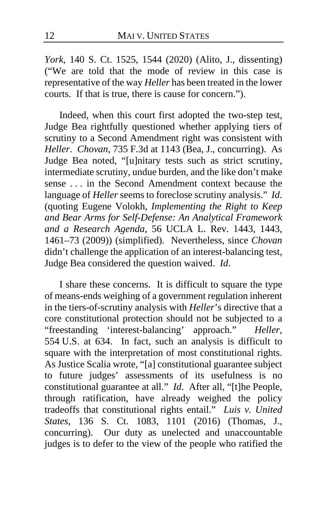*York*, 140 S. Ct. 1525, 1544 (2020) (Alito, J., dissenting) ("We are told that the mode of review in this case is representative of the way *Heller* has been treated in the lower courts. If that is true, there is cause for concern.").

Indeed, when this court first adopted the two-step test, Judge Bea rightfully questioned whether applying tiers of scrutiny to a Second Amendment right was consistent with *Heller*. *Chovan*, 735 F.3d at 1143 (Bea, J., concurring). As Judge Bea noted, "[u]nitary tests such as strict scrutiny, intermediate scrutiny, undue burden, and the like don't make sense . . . in the Second Amendment context because the language of *Heller* seems to foreclose scrutiny analysis." *Id*. (quoting Eugene Volokh, *Implementing the Right to Keep and Bear Arms for Self-Defense: An Analytical Framework and a Research Agenda*, 56 UCLA L. Rev. 1443, 1443, 1461–73 (2009)) (simplified). Nevertheless, since *Chovan* didn't challenge the application of an interest-balancing test, Judge Bea considered the question waived. *Id*.

I share these concerns. It is difficult to square the type of means-ends weighing of a government regulation inherent in the tiers-of-scrutiny analysis with *Heller*'s directive that a core constitutional protection should not be subjected to a "freestanding 'interest-balancing' approach." *Heller*, 554 U.S. at 634. In fact, such an analysis is difficult to square with the interpretation of most constitutional rights. As Justice Scalia wrote, "[a] constitutional guarantee subject to future judges' assessments of its usefulness is no constitutional guarantee at all." *Id*. After all, "[t]he People, through ratification, have already weighed the policy tradeoffs that constitutional rights entail." *Luis v. United States*, 136 S. Ct. 1083, 1101 (2016) (Thomas, J., concurring). Our duty as unelected and unaccountable judges is to defer to the view of the people who ratified the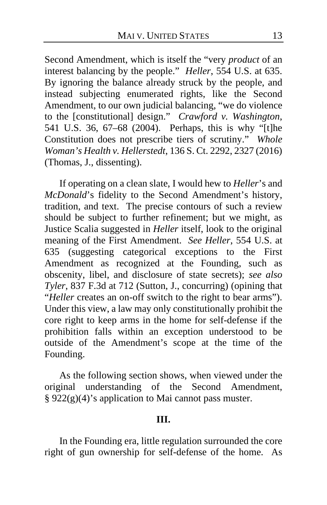Second Amendment, which is itself the "very *product* of an interest balancing by the people." *Heller*, 554 U.S. at 635. By ignoring the balance already struck by the people, and instead subjecting enumerated rights, like the Second Amendment, to our own judicial balancing, "we do violence to the [constitutional] design." *Crawford v. Washington*, 541 U.S. 36, 67–68 (2004). Perhaps, this is why "[t]he Constitution does not prescribe tiers of scrutiny." *Whole Woman's Health v. Hellerstedt*, 136 S. Ct. 2292, 2327 (2016) (Thomas, J., dissenting).

If operating on a clean slate, I would hew to *Heller*'s and *McDonald*'s fidelity to the Second Amendment's history, tradition, and text. The precise contours of such a review should be subject to further refinement; but we might, as Justice Scalia suggested in *Heller* itself, look to the original meaning of the First Amendment. *See Heller*, 554 U.S. at 635 (suggesting categorical exceptions to the First Amendment as recognized at the Founding, such as obscenity, libel, and disclosure of state secrets); *see also Tyler*, 837 F.3d at 712 (Sutton, J., concurring) (opining that "*Heller* creates an on-off switch to the right to bear arms"). Under this view, a law may only constitutionally prohibit the core right to keep arms in the home for self-defense if the prohibition falls within an exception understood to be outside of the Amendment's scope at the time of the Founding.

As the following section shows, when viewed under the original understanding of the Second Amendment, § 922(g)(4)'s application to Mai cannot pass muster.

### **III.**

In the Founding era, little regulation surrounded the core right of gun ownership for self-defense of the home. As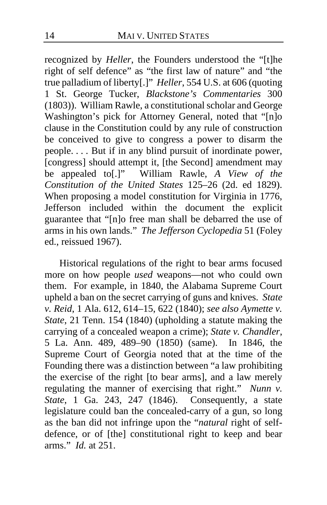recognized by *Heller*, the Founders understood the "[t]he right of self defence" as "the first law of nature" and "the true palladium of liberty[.]" *Heller*, 554 U.S. at 606 (quoting 1 St. George Tucker, *Blackstone's Commentaries* 300 (1803)). William Rawle, a constitutional scholar and George Washington's pick for Attorney General, noted that "[n]o clause in the Constitution could by any rule of construction be conceived to give to congress a power to disarm the people. . . . But if in any blind pursuit of inordinate power, [congress] should attempt it, [the Second] amendment may be appealed to[.]" William Rawle, *A View of the Constitution of the United States* 125–26 (2d. ed 1829). When proposing a model constitution for Virginia in 1776, Jefferson included within the document the explicit guarantee that "[n]o free man shall be debarred the use of arms in his own lands." *The Jefferson Cyclopedia* 51 (Foley ed., reissued 1967).

Historical regulations of the right to bear arms focused more on how people *used* weapons—not who could own them. For example, in 1840, the Alabama Supreme Court upheld a ban on the secret carrying of guns and knives. *State v. Reid*, 1 Ala. 612, 614–15, 622 (1840); *see also Aymette v. State*, 21 Tenn. 154 (1840) (upholding a statute making the carrying of a concealed weapon a crime); *State v. Chandler*, 5 La. Ann. 489, 489–90 (1850) (same). In 1846, the Supreme Court of Georgia noted that at the time of the Founding there was a distinction between "a law prohibiting the exercise of the right [to bear arms], and a law merely regulating the manner of exercising that right." *Nunn v. State*, 1 Ga. 243, 247 (1846). Consequently, a state legislature could ban the concealed-carry of a gun, so long as the ban did not infringe upon the "*natural* right of selfdefence, or of [the] constitutional right to keep and bear arms." *Id.* at 251.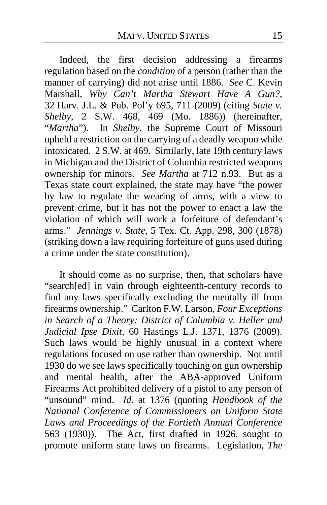Indeed, the first decision addressing a firearms regulation based on the *condition* of a person (rather than the manner of carrying) did not arise until 1886. *See* C. Kevin Marshall*, Why Can't Martha Stewart Have A Gun?*, 32 Harv. J.L. & Pub. Pol'y 695, 711 (2009) (citing *State v. Shelby*, 2 S.W. 468, 469 (Mo. 1886)) (hereinafter, "*Martha*"). In *Shelby*, the Supreme Court of Missouri upheld a restriction on the carrying of a deadly weapon while intoxicated. 2 S.W. at 469. Similarly, late 19th century laws in Michigan and the District of Columbia restricted weapons ownership for minors. *See Martha* at 712 n.93. But as a Texas state court explained, the state may have "the power by law to regulate the wearing of arms, with a view to prevent crime, but it has not the power to enact a law the violation of which will work a forfeiture of defendant's arms." *Jennings v. State*, 5 Tex. Ct. App. 298, 300 (1878) (striking down a law requiring forfeiture of guns used during a crime under the state constitution).

It should come as no surprise, then, that scholars have "search[ed] in vain through eighteenth-century records to find any laws specifically excluding the mentally ill from firearms ownership." Carlton F.W. Larson, *Four Exceptions in Search of a Theory: District of Columbia v. Heller and Judicial Ipse Dixit*, 60 Hastings L.J. 1371, 1376 (2009). Such laws would be highly unusual in a context where regulations focused on use rather than ownership. Not until 1930 do we see laws specifically touching on gun ownership and mental health, after the ABA-approved Uniform Firearms Act prohibited delivery of a pistol to any person of "unsound" mind. *Id.* at 1376 (quoting *Handbook of the National Conference of Commissioners on Uniform State Laws and Proceedings of the Fortieth Annual Conference* 563 (1930)). The Act, first drafted in 1926, sought to promote uniform state laws on firearms. Legislation, *The*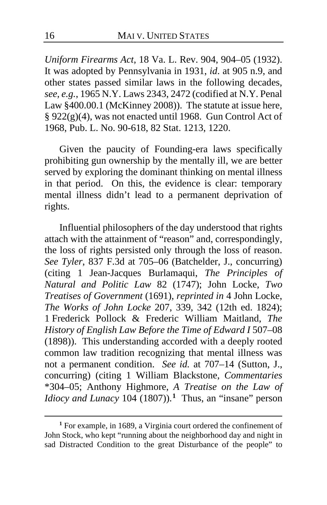*Uniform Firearms Act*, 18 Va. L. Rev. 904, 904–05 (1932). It was adopted by Pennsylvania in 1931, *id*. at 905 n.9, and other states passed similar laws in the following decades, *see, e.g.*, 1965 N.Y. Laws 2343, 2472 (codified at N.Y. Penal Law §400.00.1 (McKinney 2008)). The statute at issue here, § 922(g)(4), was not enacted until 1968. Gun Control Act of 1968, Pub. L. No. 90-618, 82 Stat. 1213, 1220.

Given the paucity of Founding-era laws specifically prohibiting gun ownership by the mentally ill, we are better served by exploring the dominant thinking on mental illness in that period. On this, the evidence is clear: temporary mental illness didn't lead to a permanent deprivation of rights.

Influential philosophers of the day understood that rights attach with the attainment of "reason" and, correspondingly, the loss of rights persisted only through the loss of reason. *See Tyler*, 837 F.3d at 705–06 (Batchelder, J., concurring) (citing 1 Jean-Jacques Burlamaqui, *The Principles of Natural and Politic Law* 82 (1747); John Locke, *Two Treatises of Government* (1691), *reprinted in* 4 John Locke, *The Works of John Locke* 207, 339, 342 (12th ed. 1824); 1 Frederick Pollock & Frederic William Maitland, *The History of English Law Before the Time of Edward I* 507–08 (1898)). This understanding accorded with a deeply rooted common law tradition recognizing that mental illness was not a permanent condition. *See id.* at 707–14 (Sutton, J., concurring) (citing 1 William Blackstone, *Commentaries*  \*304–05; Anthony Highmore, *A Treatise on the Law of Idiocy and Lunacy* 104 (1807)).**[1](#page-15-0)** Thus, an "insane" person

<span id="page-15-0"></span>**<sup>1</sup>** For example, in 1689, a Virginia court ordered the confinement of John Stock, who kept "running about the neighborhood day and night in sad Distracted Condition to the great Disturbance of the people" to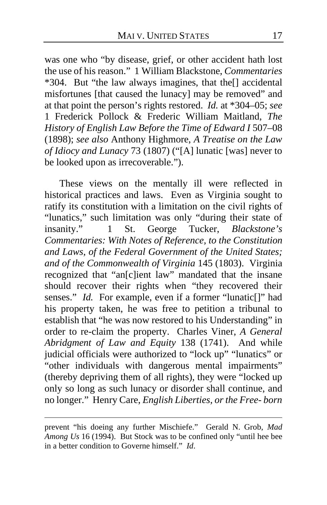was one who "by disease, grief, or other accident hath lost the use of his reason." 1 William Blackstone, *Commentaries* \*304. But "the law always imagines, that the[] accidental misfortunes [that caused the lunacy] may be removed" and at that point the person's rights restored. *Id.* at \*304–05; *see* 1 Frederick Pollock & Frederic William Maitland, *The History of English Law Before the Time of Edward I* 507–08 (1898); *see also* Anthony Highmore, *A Treatise on the Law of Idiocy and Lunacy* 73 (1807) ("[A] lunatic [was] never to be looked upon as irrecoverable.").

These views on the mentally ill were reflected in historical practices and laws. Even as Virginia sought to ratify its constitution with a limitation on the civil rights of "lunatics," such limitation was only "during their state of insanity." 1 St. George Tucker, *Blackstone's Commentaries: With Notes of Reference, to the Constitution and Laws, of the Federal Government of the United States; and of the Commonwealth of Virginia* 145 (1803). Virginia recognized that "an[c]ient law" mandated that the insane should recover their rights when "they recovered their senses." *Id.* For example, even if a former "lunatic[]" had his property taken, he was free to petition a tribunal to establish that "he was now restored to his Understanding" in order to re-claim the property. Charles Viner, *A General Abridgment of Law and Equity* 138 (1741). And while judicial officials were authorized to "lock up" "lunatics" or "other individuals with dangerous mental impairments" (thereby depriving them of all rights), they were "locked up only so long as such lunacy or disorder shall continue, and no longer." Henry Care, *English Liberties, or the Free- born* 

prevent "his doeing any further Mischiefe." Gerald N. Grob, *Mad Among Us* 16 (1994). But Stock was to be confined only "until hee bee in a better condition to Governe himself." *Id*.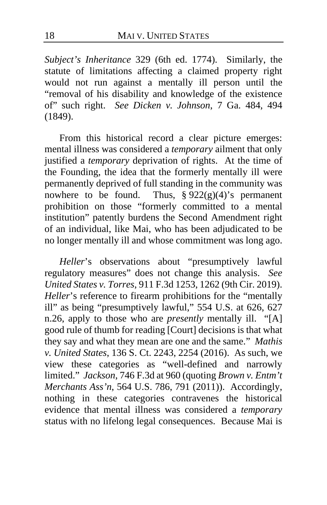*Subject's Inheritance* 329 (6th ed. 1774). Similarly, the statute of limitations affecting a claimed property right would not run against a mentally ill person until the "removal of his disability and knowledge of the existence of" such right. *See Dicken v. Johnson*, 7 Ga. 484, 494 (1849).

From this historical record a clear picture emerges: mental illness was considered a *temporary* ailment that only justified a *temporary* deprivation of rights. At the time of the Founding, the idea that the formerly mentally ill were permanently deprived of full standing in the community was nowhere to be found. Thus,  $\S 922(g)(4)'s$  permanent prohibition on those "formerly committed to a mental institution" patently burdens the Second Amendment right of an individual, like Mai, who has been adjudicated to be no longer mentally ill and whose commitment was long ago.

*Heller*'s observations about "presumptively lawful regulatory measures" does not change this analysis. *See United States v. Torres*, 911 F.3d 1253, 1262 (9th Cir. 2019). *Heller*'s reference to firearm prohibitions for the "mentally ill" as being "presumptively lawful," 554 U.S. at 626, 627 n.26, apply to those who are *presently* mentally ill. "[A] good rule of thumb for reading [Court] decisions is that what they say and what they mean are one and the same." *Mathis v. United States*, 136 S. Ct. 2243, 2254 (2016). As such, we view these categories as "well-defined and narrowly limited." *Jackson*, 746 F.3d at 960 (quoting *Brown v. Entm't Merchants Ass'n*, 564 U.S. 786, 791 (2011)). Accordingly, nothing in these categories contravenes the historical evidence that mental illness was considered a *temporary* status with no lifelong legal consequences. Because Mai is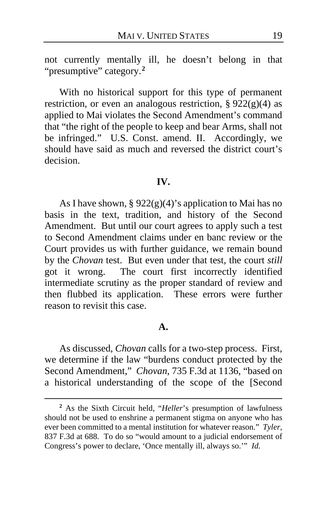not currently mentally ill, he doesn't belong in that "presumptive" category.**[2](#page-18-0)**

With no historical support for this type of permanent restriction, or even an analogous restriction, §  $922(g)(4)$  as applied to Mai violates the Second Amendment's command that "the right of the people to keep and bear Arms, shall not be infringed." U.S. Const. amend. II. Accordingly, we should have said as much and reversed the district court's decision.

#### **IV.**

As I have shown, § 922(g)(4)'s application to Mai has no basis in the text, tradition, and history of the Second Amendment. But until our court agrees to apply such a test to Second Amendment claims under en banc review or the Court provides us with further guidance, we remain bound by the *Chovan* test. But even under that test, the court *still* got it wrong. The court first incorrectly identified intermediate scrutiny as the proper standard of review and then flubbed its application. These errors were further reason to revisit this case.

### **A.**

As discussed, *Chovan* calls for a two-step process. First, we determine if the law "burdens conduct protected by the Second Amendment," *Chovan*, 735 F.3d at 1136, "based on a historical understanding of the scope of the [Second

<span id="page-18-0"></span>**<sup>2</sup>** As the Sixth Circuit held, "*Heller*'s presumption of lawfulness should not be used to enshrine a permanent stigma on anyone who has ever been committed to a mental institution for whatever reason." *Tyler*, 837 F.3d at 688. To do so "would amount to a judicial endorsement of Congress's power to declare, 'Once mentally ill, always so.'" *Id.*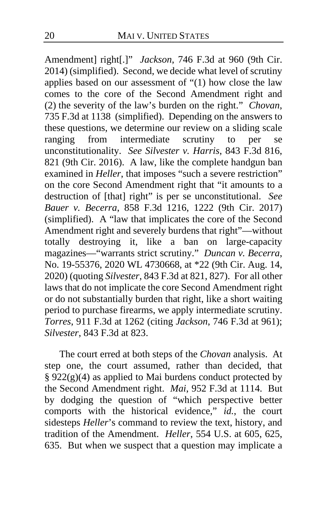Amendment] right[.]" *Jackson*, 746 F.3d at 960 (9th Cir. 2014) (simplified). Second, we decide what level of scrutiny applies based on our assessment of "(1) how close the law comes to the core of the Second Amendment right and (2) the severity of the law's burden on the right." *Chovan*, 735 F.3d at 1138 (simplified). Depending on the answers to these questions, we determine our review on a sliding scale<br>ranging from intermediate scrutiny to per se from intermediate scrutiny to per se unconstitutionality. *See Silvester v. Harris*, 843 F.3d 816, 821 (9th Cir. 2016). A law, like the complete handgun ban examined in *Heller*, that imposes "such a severe restriction" on the core Second Amendment right that "it amounts to a destruction of [that] right" is per se unconstitutional. *See Bauer v. Becerra*, 858 F.3d 1216, 1222 (9th Cir. 2017) (simplified). A "law that implicates the core of the Second Amendment right and severely burdens that right"—without totally destroying it, like a ban on large-capacity magazines—"warrants strict scrutiny." *Duncan v. Becerra*, No. 19-55376, 2020 WL 4730668, at \*22 (9th Cir. Aug. 14, 2020) (quoting *Silvester*, 843 F.3d at 821, 827). For all other laws that do not implicate the core Second Amendment right or do not substantially burden that right, like a short waiting period to purchase firearms, we apply intermediate scrutiny. *Torres*, 911 F.3d at 1262 (citing *Jackson*, 746 F.3d at 961); *Silvester*, 843 F.3d at 823.

The court erred at both steps of the *Chovan* analysis. At step one, the court assumed, rather than decided, that  $\S 922(g)(4)$  as applied to Mai burdens conduct protected by the Second Amendment right. *Mai*, 952 F.3d at 1114. But by dodging the question of "which perspective better comports with the historical evidence," *id.*, the court sidesteps *Heller*'s command to review the text, history, and tradition of the Amendment. *Heller*, 554 U.S. at 605, 625, 635. But when we suspect that a question may implicate a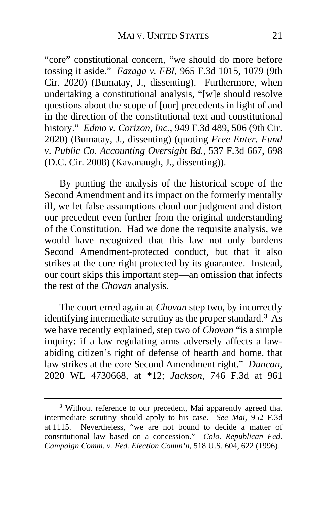"core" constitutional concern, "we should do more before tossing it aside." *Fazaga v. FBI*, 965 F.3d 1015, 1079 (9th Cir. 2020) (Bumatay, J., dissenting). Furthermore, when undertaking a constitutional analysis, "[w]e should resolve questions about the scope of [our] precedents in light of and in the direction of the constitutional text and constitutional history." *Edmo v. Corizon, Inc.*, 949 F.3d 489, 506 (9th Cir. 2020) (Bumatay, J., dissenting) (quoting *Free Enter. Fund v. Public Co. Accounting Oversight Bd.*, 537 F.3d 667, 698 (D.C. Cir. 2008) (Kavanaugh, J., dissenting)).

By punting the analysis of the historical scope of the Second Amendment and its impact on the formerly mentally ill, we let false assumptions cloud our judgment and distort our precedent even further from the original understanding of the Constitution. Had we done the requisite analysis, we would have recognized that this law not only burdens Second Amendment-protected conduct, but that it also strikes at the core right protected by its guarantee. Instead, our court skips this important step—an omission that infects the rest of the *Chovan* analysis.

The court erred again at *Chovan* step two, by incorrectly identifying intermediate scrutiny as the proper standard.**[3](#page-20-0)** As we have recently explained, step two of *Chovan* "is a simple inquiry: if a law regulating arms adversely affects a lawabiding citizen's right of defense of hearth and home, that law strikes at the core Second Amendment right." *Duncan*, 2020 WL 4730668, at \*12; *Jackson*, 746 F.3d at 961

<span id="page-20-0"></span>**<sup>3</sup>** Without reference to our precedent, Mai apparently agreed that intermediate scrutiny should apply to his case. *See Mai*, 952 F.3d at 1115. Nevertheless, "we are not bound to decide a matter of constitutional law based on a concession." *Colo. Republican Fed. Campaign Comm. v. Fed. Election Comm'n*, 518 U.S. 604, 622 (1996).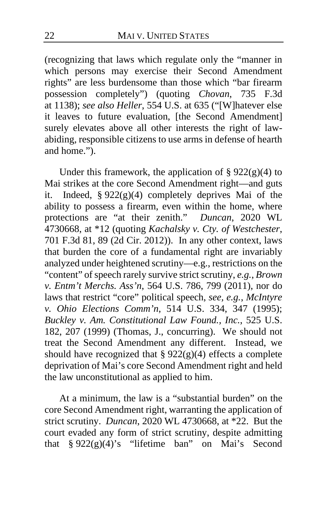(recognizing that laws which regulate only the "manner in which persons may exercise their Second Amendment rights" are less burdensome than those which "bar firearm possession completely") (quoting *Chovan*, 735 F.3d at 1138); *see also Heller*, 554 U.S. at 635 ("[W]hatever else it leaves to future evaluation, [the Second Amendment] surely elevates above all other interests the right of lawabiding, responsible citizens to use arms in defense of hearth and home.").

Under this framework, the application of  $\S 922(g)(4)$  to Mai strikes at the core Second Amendment right—and guts it. Indeed, § 922(g)(4) completely deprives Mai of the ability to possess a firearm, even within the home, where protections are "at their zenith." *Duncan*, 2020 WL 4730668, at \*12 (quoting *Kachalsky v. Cty. of Westchester*, 701 F.3d 81, 89 (2d Cir. 2012)). In any other context, laws that burden the core of a fundamental right are invariably analyzed under heightened scrutiny—e.g., restrictions on the "content" of speech rarely survive strict scrutiny, *e.g.*, *Brown v. Entm't Merchs. Ass'n*, 564 U.S. 786, 799 (2011), nor do laws that restrict "core" political speech, *see, e.g.*, *McIntyre v. Ohio Elections Comm'n*, 514 U.S. 334, 347 (1995); *Buckley v. Am. Constitutional Law Found., Inc.*, 525 U.S. 182, 207 (1999) (Thomas, J., concurring). We should not treat the Second Amendment any different. Instead, we should have recognized that  $\S 922(g)(4)$  effects a complete deprivation of Mai's core Second Amendment right and held the law unconstitutional as applied to him.

At a minimum, the law is a "substantial burden" on the core Second Amendment right, warranting the application of strict scrutiny. *Duncan*, 2020 WL 4730668, at \*22. But the court evaded any form of strict scrutiny, despite admitting that  $\frac{8}{922(g)(4)}$ 's "lifetime ban" on Mai's Second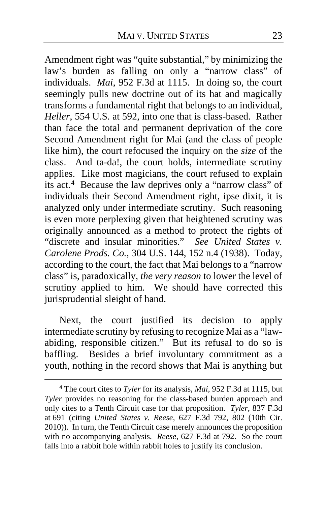Amendment right was "quite substantial," by minimizing the law's burden as falling on only a "narrow class" of individuals. *Mai*, 952 F.3d at 1115. In doing so, the court seemingly pulls new doctrine out of its hat and magically transforms a fundamental right that belongs to an individual, *Heller*, 554 U.S. at 592, into one that is class-based. Rather than face the total and permanent deprivation of the core Second Amendment right for Mai (and the class of people like him), the court refocused the inquiry on the *size* of the class. And ta-da!, the court holds, intermediate scrutiny applies. Like most magicians, the court refused to explain its act.**[4](#page-22-0)** Because the law deprives only a "narrow class" of individuals their Second Amendment right, ipse dixit, it is analyzed only under intermediate scrutiny. Such reasoning is even more perplexing given that heightened scrutiny was originally announced as a method to protect the rights of "discrete and insular minorities." *See United States v. Carolene Prods. Co.*, 304 U.S. 144, 152 n.4 (1938). Today, according to the court, the fact that Mai belongs to a "narrow class" is, paradoxically, *the very reason* to lower the level of scrutiny applied to him. We should have corrected this jurisprudential sleight of hand.

Next, the court justified its decision to apply intermediate scrutiny by refusing to recognize Mai as a "lawabiding, responsible citizen." But its refusal to do so is baffling. Besides a brief involuntary commitment as a youth, nothing in the record shows that Mai is anything but

<span id="page-22-0"></span>**<sup>4</sup>** The court cites to *Tyler* for its analysis, *Mai*, 952 F.3d at 1115, but *Tyler* provides no reasoning for the class-based burden approach and only cites to a Tenth Circuit case for that proposition. *Tyler*, 837 F.3d at 691 (citing *United States v. Reese*, 627 F.3d 792, 802 (10th Cir. 2010)). In turn, the Tenth Circuit case merely announces the proposition with no accompanying analysis. *Reese*, 627 F.3d at 792. So the court falls into a rabbit hole within rabbit holes to justify its conclusion.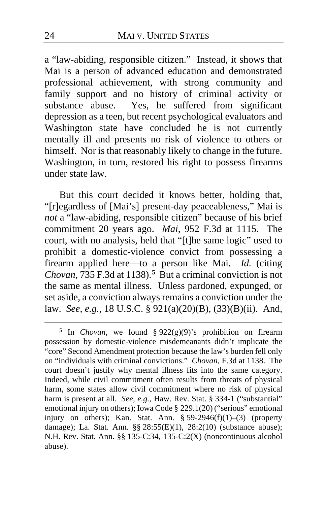a "law-abiding, responsible citizen." Instead, it shows that Mai is a person of advanced education and demonstrated professional achievement, with strong community and family support and no history of criminal activity or substance abuse. Yes, he suffered from significant depression as a teen, but recent psychological evaluators and Washington state have concluded he is not currently mentally ill and presents no risk of violence to others or himself. Nor is that reasonably likely to change in the future. Washington, in turn, restored his right to possess firearms under state law.

But this court decided it knows better, holding that, "[r]egardless of [Mai's] present-day peaceableness," Mai is *not* a "law-abiding, responsible citizen" because of his brief commitment 20 years ago. *Mai*, 952 F.3d at 1115.The court, with no analysis, held that "[t]he same logic" used to prohibit a domestic-violence convict from possessing a firearm applied here—to a person like Mai. *Id.* (citing *Chovan*, 73[5](#page-23-0) F.3d at 1138).<sup>5</sup> But a criminal conviction is not the same as mental illness. Unless pardoned, expunged, or set aside, a conviction always remains a conviction under the law. *See, e.g.*, 18 U.S.C. § 921(a)(20)(B), (33)(B)(ii). And,

<span id="page-23-0"></span>**<sup>5</sup>** In *Chovan*, we found § 922(g)(9)'s prohibition on firearm possession by domestic-violence misdemeanants didn't implicate the "core" Second Amendment protection because the law's burden fell only on "individuals with criminal convictions." *Chovan*, F.3d at 1138. The court doesn't justify why mental illness fits into the same category. Indeed, while civil commitment often results from threats of physical harm, some states allow civil commitment where no risk of physical harm is present at all. *See, e.g.*, Haw. Rev. Stat. § 334-1 ("substantial" emotional injury on others); Iowa Code § 229.1(20) ("serious" emotional injury on others); Kan. Stat. Ann.  $§ 59-2946(f)(1)-(3)$  (property damage); La. Stat. Ann. §§ 28:55(E)(1), 28:2(10) (substance abuse); N.H. Rev. Stat. Ann. §§ 135-C:34, 135-C:2(X) (noncontinuous alcohol abuse).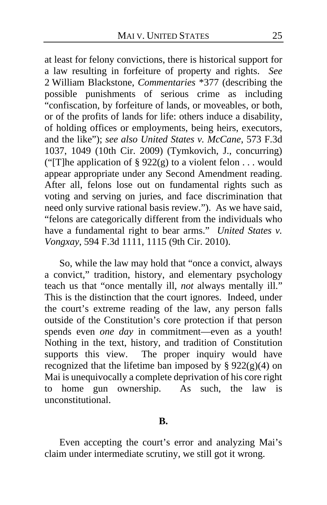at least for felony convictions, there is historical support for a law resulting in forfeiture of property and rights. *See* 2 William Blackstone, *Commentaries* \*377 (describing the possible punishments of serious crime as including "confiscation, by forfeiture of lands, or moveables, or both, or of the profits of lands for life: others induce a disability, of holding offices or employments, being heirs, executors, and the like"); *see also United States v. McCane*, 573 F.3d 1037, 1049 (10th Cir. 2009) (Tymkovich, J., concurring) ("[T]he application of § 922(g) to a violent felon  $\dots$  would appear appropriate under any Second Amendment reading. After all, felons lose out on fundamental rights such as voting and serving on juries, and face discrimination that need only survive rational basis review."). As we have said, "felons are categorically different from the individuals who have a fundamental right to bear arms." *United States v. Vongxay*, 594 F.3d 1111, 1115 (9th Cir. 2010).

So, while the law may hold that "once a convict, always a convict," tradition, history, and elementary psychology teach us that "once mentally ill, *not* always mentally ill." This is the distinction that the court ignores. Indeed, under the court's extreme reading of the law, any person falls outside of the Constitution's core protection if that person spends even *one day* in commitment—even as a youth! Nothing in the text, history, and tradition of Constitution supports this view. The proper inquiry would have recognized that the lifetime ban imposed by  $\S 922(g)(4)$  on Mai is unequivocally a complete deprivation of his core right to home gun ownership. As such, the law is unconstitutional.

#### **B.**

Even accepting the court's error and analyzing Mai's claim under intermediate scrutiny, we still got it wrong.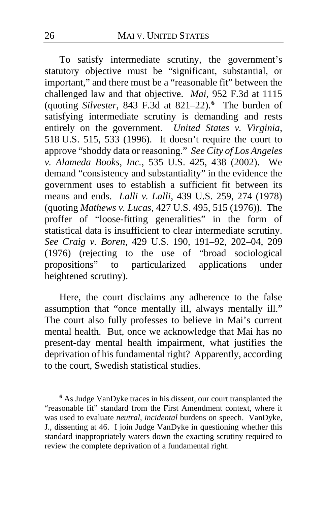To satisfy intermediate scrutiny, the government's statutory objective must be "significant, substantial, or important," and there must be a "reasonable fit" between the challenged law and that objective. *Mai*, 952 F.3d at 1115 (quoting *Silvester*, 843 F.3d at 821–22).**[6](#page-25-0)** The burden of satisfying intermediate scrutiny is demanding and rests entirely on the government. *United States v. Virginia*, 518 U.S. 515, 533 (1996). It doesn't require the court to approve "shoddy data or reasoning." *See City of Los Angeles v. Alameda Books, Inc.*, 535 U.S. 425, 438 (2002). We demand "consistency and substantiality" in the evidence the government uses to establish a sufficient fit between its means and ends. *Lalli v. Lalli*, 439 U.S. 259, 274 (1978) (quoting *Mathews v. Lucas*, 427 U.S. 495, 515 (1976)). The proffer of "loose-fitting generalities" in the form of statistical data is insufficient to clear intermediate scrutiny. *See Craig v. Boren*, 429 U.S. 190, 191–92, 202–04, 209 (1976) (rejecting to the use of "broad sociological propositions" to particularized applications under heightened scrutiny).

Here, the court disclaims any adherence to the false assumption that "once mentally ill, always mentally ill." The court also fully professes to believe in Mai's current mental health. But, once we acknowledge that Mai has no present-day mental health impairment, what justifies the deprivation of his fundamental right? Apparently, according to the court, Swedish statistical studies.

<span id="page-25-0"></span>**<sup>6</sup>** As Judge VanDyke traces in his dissent, our court transplanted the "reasonable fit" standard from the First Amendment context, where it was used to evaluate *neutral*, *incidental* burdens on speech. VanDyke, J., dissenting at [46.](#page-45-0) I join Judge VanDyke in questioning whether this standard inappropriately waters down the exacting scrutiny required to review the complete deprivation of a fundamental right.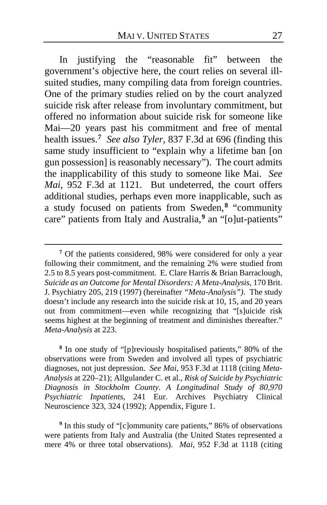In justifying the "reasonable fit" between the government's objective here, the court relies on several illsuited studies, many compiling data from foreign countries. One of the primary studies relied on by the court analyzed suicide risk after release from involuntary commitment, but offered no information about suicide risk for someone like Mai—20 years past his commitment and free of mental health issues.**[7](#page-26-0)** *See also Tyler*, 837 F.3d at 696 (finding this same study insufficient to "explain why a lifetime ban [on gun possession] is reasonably necessary"). The court admits the inapplicability of this study to someone like Mai. *See Mai*, 952 F.3d at 1121. But undeterred, the court offers additional studies, perhaps even more inapplicable, such as a study focused on patients from Sweden,**[8](#page-26-1)** "community care" patients from Italy and Australia,**[9](#page-26-2)** an "[o]ut-patients"

<span id="page-26-1"></span>**<sup>8</sup>** In one study of "[p]reviously hospitalised patients," 80% of the observations were from Sweden and involved all types of psychiatric diagnoses, not just depression. *See Mai,* 953 F.3d at 1118 (citing *Meta-Analysis* at 220–21); Allgulander C. et al., *Risk of Suicide by Psychiatric Diagnosis in Stockholm County. A Longitudinal Study of 80,970 Psychiatric Inpatients*, 241 Eur. Archives Psychiatry Clinical Neuroscience 323, 324 (1992); Appendix, Figure 1.

<span id="page-26-2"></span><sup>9</sup> In this study of "[c]ommunity care patients," 86% of observations were patients from Italy and Australia (the United States represented a mere 4% or three total observations). *Mai*, 952 F.3d at 1118 (citing

<span id="page-26-0"></span>**<sup>7</sup>** Of the patients considered, 98% were considered for only a year following their commitment, and the remaining 2% were studied from 2.5 to 8.5 years post-commitment. E. Clare Harris & Brian Barraclough, *Suicide as an Outcome for Mental Disorders: A Meta-Analysis*, 170 Brit. J. Psychiatry 205, 219 (1997) (hereinafter *"Meta-Analysis")*. The study doesn't include any research into the suicide risk at 10, 15, and 20 years out from commitment—even while recognizing that "[s]uicide risk seems highest at the beginning of treatment and diminishes thereafter." *Meta-Analysis* at 223.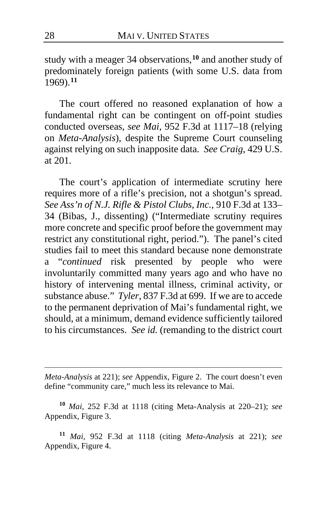study with a meager 34 observations,**[10](#page-27-0)** and another study of predominately foreign patients (with some U.S. data from 1969).**[11](#page-27-1)**

The court offered no reasoned explanation of how a fundamental right can be contingent on off-point studies conducted overseas, *see Mai*, 952 F.3d at 1117–18 (relying on *Meta-Analysis*), despite the Supreme Court counseling against relying on such inapposite data. *See Craig*, 429 U.S. at 201.

The court's application of intermediate scrutiny here requires more of a rifle's precision, not a shotgun's spread. *See Ass'n of N.J. Rifle & Pistol Clubs, Inc.*, 910 F.3d at 133– 34 (Bibas, J., dissenting) ("Intermediate scrutiny requires more concrete and specific proof before the government may restrict any constitutional right, period."). The panel's cited studies fail to meet this standard because none demonstrate a "*continued* risk presented by people who were involuntarily committed many years ago and who have no history of intervening mental illness, criminal activity, or substance abuse." *Tyler*, 837 F.3d at 699. If we are to accede to the permanent deprivation of Mai's fundamental right, we should, at a minimum, demand evidence sufficiently tailored to his circumstances. *See id.* (remanding to the district court

*Meta-Analysis* at 221); *see* Appendix, Figure 2. The court doesn't even define "community care," much less its relevance to Mai.

<span id="page-27-0"></span>**<sup>10</sup>** *Mai*, 252 F.3d at 1118 (citing Meta-Analysis at 220–21); *see* Appendix, Figure 3.

<span id="page-27-1"></span>**<sup>11</sup>** *Mai*, 952 F.3d at 1118 (citing *Meta-Analysis* at 221); *see* Appendix, Figure 4.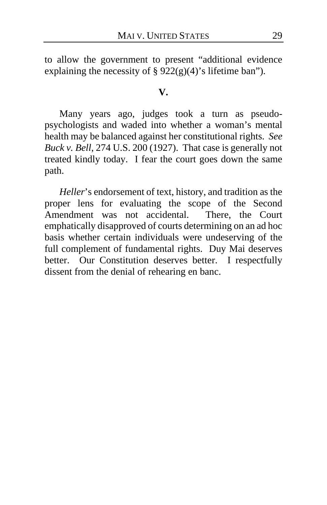to allow the government to present "additional evidence explaining the necessity of  $\S 922(g)(4)'$  s lifetime ban").

### **V.**

Many years ago, judges took a turn as pseudopsychologists and waded into whether a woman's mental health may be balanced against her constitutional rights. *See Buck v. Bell*, 274 U.S. 200 (1927). That case is generally not treated kindly today. I fear the court goes down the same path.

*Heller*'s endorsement of text, history, and tradition as the proper lens for evaluating the scope of the Second Amendment was not accidental. There, the Court emphatically disapproved of courts determining on an ad hoc basis whether certain individuals were undeserving of the full complement of fundamental rights. Duy Mai deserves better. Our Constitution deserves better. I respectfully dissent from the denial of rehearing en banc.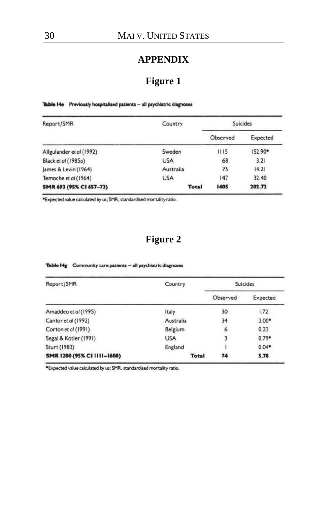### **APPENDIX**

## **Figure 1**

Table 14e Previously hospitalised patients - all psychiatric diagnoses

| Report/SMR               | Country      | <b>Suicides</b> |          |
|--------------------------|--------------|-----------------|----------|
|                          |              | Observed        | Expected |
| Allgulander et al (1992) | Sweden       | 1115            | 152.90*  |
| Black et al (1985a)      | <b>USA</b>   | 68              | 3.21     |
| James & Levin (1964)     | Australia    | 75              | 14.21    |
| Temoche et al (1964)     | <b>USA</b>   | 147             | 32.40    |
| SMR 693 (95% CI 657-73)  | <b>Total</b> | 1405            | 202.72   |

\*Expected value calculated by us; SMR, standardised mortality ratio.

## **Figure 2**

| Report/SMR                  | Country    | <b>Suicides</b> |                     |
|-----------------------------|------------|-----------------|---------------------|
|                             |            | Observed        | Expected            |
| Amaddeo et al (1995)        | Italy      | 30              | 1.72                |
| Cantor et al (1992)         | Australia  | 34              | $3.00$ <sup>*</sup> |
| Corton et al (1991)         | Belgium    | 6               | 0.23                |
| Segal & Kotler (1991)       | <b>USA</b> | 3               | $0.79$ <sup>*</sup> |
| Sturt (1983)                | England    |                 | $0.04$ <sup>*</sup> |
| SMR 1280 (95% CI 1111-1608) | Total      | 74              | 5.78                |

Table 14g Community care patients - all psychiatric diagnoses

\*Expected value calculated by us; SMR, standardised mortality ratio.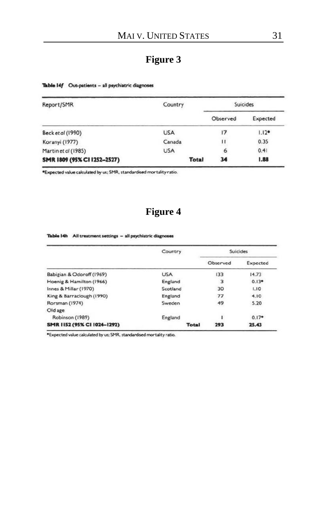# **Figure 3**

Table 14f Out-patients - all psychiatric diagnoses

| Country      | Suicides |                     |
|--------------|----------|---------------------|
|              | Observed | Expected            |
| <b>USA</b>   | 17       | $1.12$ <sup>*</sup> |
| Canada       | н        | 0.35                |
| <b>USA</b>   | 6        | 0.41                |
| <b>Total</b> | 34       | 1.88                |
|              |          |                     |

\*Expected value calculated by us; SMR, standardised mortality ratio.

## **Figure 4**

#### Table 14h All treatment settings - all psychiatric diagnoses

|                             | Country    | Suicides |          |
|-----------------------------|------------|----------|----------|
|                             |            | Observed | Expected |
| Babigian & Odoroff (1969)   | <b>USA</b> | 133      | 14.73    |
| Hoenig & Hamilton (1966)    | England    | 3        | $0.13*$  |
| Innes & Millar (1970)       | Scotland   | 30       | 1.10     |
| King & Barraclough (1990)   | England    | 77       | 4.10     |
| Rorsman (1974)              | Sweden     | 49       | 5.20     |
| Old age                     |            |          |          |
| Robinson (1989)             | England    |          | $0.17*$  |
| SMR 1152 (95% CI 1024-1292) | Total      | 293      | 25.43    |

\*Expected value calculated by us; SMR, standardised mortality ratio.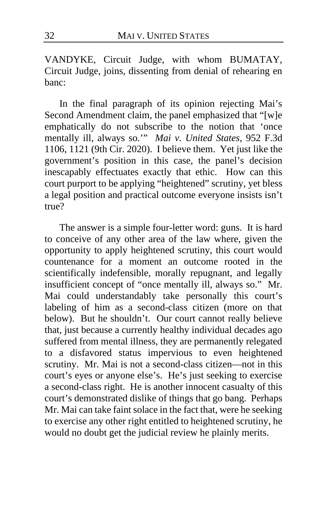VANDYKE, Circuit Judge, with whom BUMATAY, Circuit Judge, joins, dissenting from denial of rehearing en banc:

In the final paragraph of its opinion rejecting Mai's Second Amendment claim, the panel emphasized that "[w]e emphatically do not subscribe to the notion that 'once mentally ill, always so.'" *Mai v. United States*, 952 F.3d 1106, 1121 (9th Cir. 2020). I believe them. Yet just like the government's position in this case, the panel's decision inescapably effectuates exactly that ethic. How can this court purport to be applying "heightened" scrutiny, yet bless a legal position and practical outcome everyone insists isn't true?

The answer is a simple four-letter word: guns. It is hard to conceive of any other area of the law where, given the opportunity to apply heightened scrutiny, this court would countenance for a moment an outcome rooted in the scientifically indefensible, morally repugnant, and legally insufficient concept of "once mentally ill, always so." Mr. Mai could understandably take personally this court's labeling of him as a second-class citizen (more on that below). But he shouldn't. Our court cannot really believe that, just because a currently healthy individual decades ago suffered from mental illness, they are permanently relegated to a disfavored status impervious to even heightened scrutiny. Mr. Mai is not a second-class citizen—not in this court's eyes or anyone else's. He's just seeking to exercise a second-class right. He is another innocent casualty of this court's demonstrated dislike of things that go bang. Perhaps Mr. Mai can take faint solace in the fact that, were he seeking to exercise any other right entitled to heightened scrutiny, he would no doubt get the judicial review he plainly merits.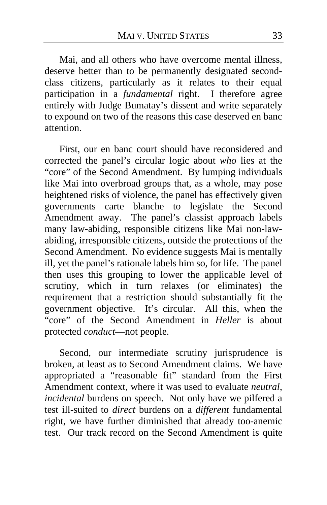Mai, and all others who have overcome mental illness, deserve better than to be permanently designated secondclass citizens, particularly as it relates to their equal participation in a *fundamental* right. I therefore agree entirely with Judge Bumatay's dissent and write separately to expound on two of the reasons this case deserved en banc attention.

First, our en banc court should have reconsidered and corrected the panel's circular logic about *who* lies at the "core" of the Second Amendment. By lumping individuals like Mai into overbroad groups that, as a whole, may pose heightened risks of violence, the panel has effectively given governments carte blanche to legislate the Second Amendment away. The panel's classist approach labels many law-abiding, responsible citizens like Mai non-lawabiding, irresponsible citizens, outside the protections of the Second Amendment. No evidence suggests Mai is mentally ill, yet the panel's rationale labels him so, for life. The panel then uses this grouping to lower the applicable level of scrutiny, which in turn relaxes (or eliminates) the requirement that a restriction should substantially fit the government objective. It's circular. All this, when the "core" of the Second Amendment in *Heller* is about protected *conduct*—not people.

Second, our intermediate scrutiny jurisprudence is broken, at least as to Second Amendment claims. We have appropriated a "reasonable fit" standard from the First Amendment context, where it was used to evaluate *neutral*, *incidental* burdens on speech. Not only have we pilfered a test ill-suited to *direct* burdens on a *different* fundamental right, we have further diminished that already too-anemic test. Our track record on the Second Amendment is quite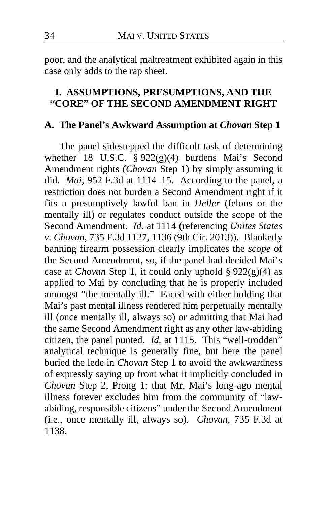poor, and the analytical maltreatment exhibited again in this case only adds to the rap sheet.

## **I. ASSUMPTIONS, PRESUMPTIONS, AND THE "CORE" OF THE SECOND AMENDMENT RIGHT**

### **A. The Panel's Awkward Assumption at** *Chovan* **Step 1**

The panel sidestepped the difficult task of determining whether 18 U.S.C. § 922(g)(4) burdens Mai's Second Amendment rights (*Chovan* Step 1) by simply assuming it did. *Mai*, 952 F.3d at 1114–15. According to the panel, a restriction does not burden a Second Amendment right if it fits a presumptively lawful ban in *Heller* (felons or the mentally ill) or regulates conduct outside the scope of the Second Amendment. *Id.* at 1114 (referencing *Unites States v. Chovan*, 735 F.3d 1127, 1136 (9th Cir. 2013)). Blanketly banning firearm possession clearly implicates the *scope* of the Second Amendment, so, if the panel had decided Mai's case at *Chovan* Step 1, it could only uphold § 922(g)(4) as applied to Mai by concluding that he is properly included amongst "the mentally ill." Faced with either holding that Mai's past mental illness rendered him perpetually mentally ill (once mentally ill, always so) or admitting that Mai had the same Second Amendment right as any other law-abiding citizen, the panel punted. *Id.* at 1115. This "well-trodden" analytical technique is generally fine, but here the panel buried the lede in *Chovan* Step 1 to avoid the awkwardness of expressly saying up front what it implicitly concluded in *Chovan* Step 2, Prong 1: that Mr. Mai's long-ago mental illness forever excludes him from the community of "lawabiding, responsible citizens" under the Second Amendment (i.e., once mentally ill, always so). *Chovan*, 735 F.3d at 1138.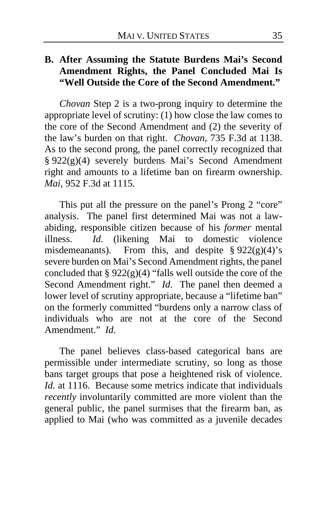## **B. After Assuming the Statute Burdens Mai's Second Amendment Rights, the Panel Concluded Mai Is "Well Outside the Core of the Second Amendment."**

*Chovan* Step 2 is a two-prong inquiry to determine the appropriate level of scrutiny: (1) how close the law comes to the core of the Second Amendment and (2) the severity of the law's burden on that right. *Chovan*, 735 F.3d at 1138. As to the second prong, the panel correctly recognized that § 922(g)(4) severely burdens Mai's Second Amendment right and amounts to a lifetime ban on firearm ownership. *Mai*, 952 F.3d at 1115*.*

This put all the pressure on the panel's Prong 2 "core" analysis. The panel first determined Mai was not a lawabiding, responsible citizen because of his *former* mental illness. *Id.* (likening Mai to domestic violence misdemeanants). From this, and despite  $\S 922(g)(4)'s$ severe burden on Mai's Second Amendment rights, the panel concluded that §  $922(g)(4)$  "falls well outside the core of the Second Amendment right." *Id*. The panel then deemed a lower level of scrutiny appropriate, because a "lifetime ban" on the formerly committed "burdens only a narrow class of individuals who are not at the core of the Second Amendment." *Id*.

The panel believes class-based categorical bans are permissible under intermediate scrutiny, so long as those bans target groups that pose a heightened risk of violence. *Id.* at 1116. Because some metrics indicate that individuals *recently* involuntarily committed are more violent than the general public, the panel surmises that the firearm ban, as applied to Mai (who was committed as a juvenile decades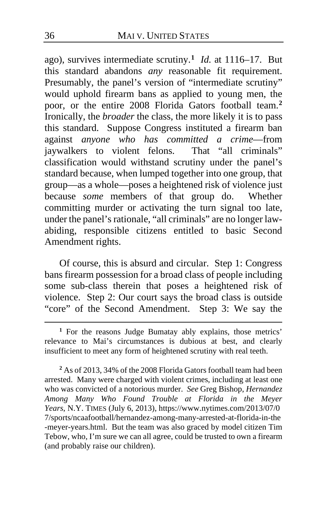ago), survives intermediate scrutiny.**[1](#page-35-0)** *Id.* at 1116–17. But this standard abandons *any* reasonable fit requirement. Presumably, the panel's version of "intermediate scrutiny" would uphold firearm bans as applied to young men, the poor, or the entire 2008 Florida Gators football team.**[2](#page-35-1)** Ironically, the *broader* the class, the more likely it is to pass this standard. Suppose Congress instituted a firearm ban against *anyone who has committed a crime*—from jaywalkers to violent felons. classification would withstand scrutiny under the panel's standard because, when lumped together into one group, that group—as a whole—poses a heightened risk of violence just because *some* members of that group do. Whether committing murder or activating the turn signal too late, under the panel's rationale, "all criminals" are no longer lawabiding, responsible citizens entitled to basic Second Amendment rights.

Of course, this is absurd and circular. Step 1: Congress bans firearm possession for a broad class of people including some sub-class therein that poses a heightened risk of violence. Step 2: Our court says the broad class is outside "core" of the Second Amendment. Step 3: We say the

<span id="page-35-1"></span>**<sup>2</sup>** As of 2013, 34% of the 2008 Florida Gators football team had been arrested. Many were charged with violent crimes, including at least one who was convicted of a notorious murder. *See* Greg Bishop, *Hernandez Among Many Who Found Trouble at Florida in the Meyer Years*, N.Y. TIMES (July 6, 2013), https://www.nytimes.com/2013/07/0 7/sports/ncaafootball/hernandez-among-many-arrested-at-florida-in-the -meyer-years.html. But the team was also graced by model citizen Tim Tebow, who, I'm sure we can all agree, could be trusted to own a firearm (and probably raise our children).

<span id="page-35-0"></span>**<sup>1</sup>** For the reasons Judge Bumatay ably explains, those metrics' relevance to Mai's circumstances is dubious at best, and clearly insufficient to meet any form of heightened scrutiny with real teeth.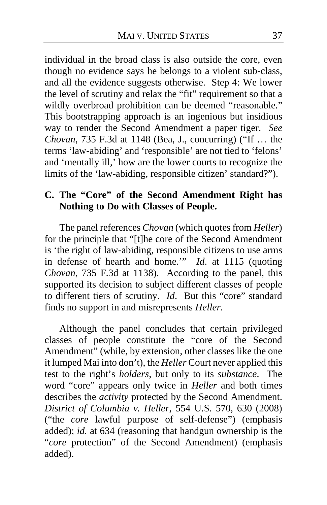individual in the broad class is also outside the core, even though no evidence says he belongs to a violent sub-class, and all the evidence suggests otherwise. Step 4: We lower the level of scrutiny and relax the "fit" requirement so that a wildly overbroad prohibition can be deemed "reasonable." This bootstrapping approach is an ingenious but insidious way to render the Second Amendment a paper tiger. *See Chovan*, 735 F.3d at 1148 (Bea, J., concurring) ("If … the terms 'law-abiding' and 'responsible' are not tied to 'felons' and 'mentally ill,' how are the lower courts to recognize the limits of the 'law-abiding, responsible citizen' standard?").

## **C. The "Core" of the Second Amendment Right has Nothing to Do with Classes of People.**

The panel references *Chovan* (which quotes from *Heller*) for the principle that "[t]he core of the Second Amendment is 'the right of law-abiding, responsible citizens to use arms in defense of hearth and home.'" *Id*. at 1115 (quoting *Chovan*, 735 F.3d at 1138). According to the panel, this supported its decision to subject different classes of people to different tiers of scrutiny. *Id*. But this "core" standard finds no support in and misrepresents *Heller*.

Although the panel concludes that certain privileged classes of people constitute the "core of the Second Amendment" (while, by extension, other classes like the one it lumped Mai into don't), the *Heller* Court never applied this test to the right's *holders*, but only to its *substance*. The word "core" appears only twice in *Heller* and both times describes the *activity* protected by the Second Amendment. *District of Columbia v. Heller*, 554 U.S. 570, 630 (2008) ("the *core* lawful purpose of self-defense") (emphasis added); *id.* at 634 (reasoning that handgun ownership is the "*core* protection" of the Second Amendment) (emphasis added).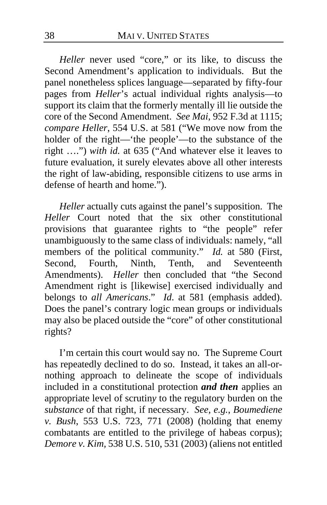*Heller* never used "core," or its like, to discuss the Second Amendment's application to individuals. But the panel nonetheless splices language—separated by fifty-four pages from *Heller*'s actual individual rights analysis—to support its claim that the formerly mentally ill lie outside the core of the Second Amendment. *See Mai*, 952 F.3d at 1115; *compare Heller*, 554 U.S. at 581 ("We move now from the holder of the right—'the people'—to the substance of the right ….") *with id.* at 635 ("And whatever else it leaves to future evaluation, it surely elevates above all other interests the right of law-abiding, responsible citizens to use arms in defense of hearth and home.").

*Heller* actually cuts against the panel's supposition. The *Heller* Court noted that the six other constitutional provisions that guarantee rights to "the people" refer unambiguously to the same class of individuals: namely, "all members of the political community." *Id.* at 580 (First, Second. Fourth. Ninth. Tenth. and Seventeenth Second, Fourth, Ninth, Tenth, Amendments). *Heller* then concluded that "the Second Amendment right is [likewise] exercised individually and belongs to *all Americans*." *Id*. at 581 (emphasis added). Does the panel's contrary logic mean groups or individuals may also be placed outside the "core" of other constitutional rights?

I'm certain this court would say no. The Supreme Court has repeatedly declined to do so. Instead, it takes an all-ornothing approach to delineate the scope of individuals included in a constitutional protection *and then* applies an appropriate level of scrutin*y* to the regulatory burden on the *substance* of that right, if necessary. *See, e.g.*, *Boumediene v. Bush*, 553 U.S. 723, 771 (2008) (holding that enemy combatants are entitled to the privilege of habeas corpus); *Demore v. Kim,* 538 U.S. 510, 531 (2003) (aliens not entitled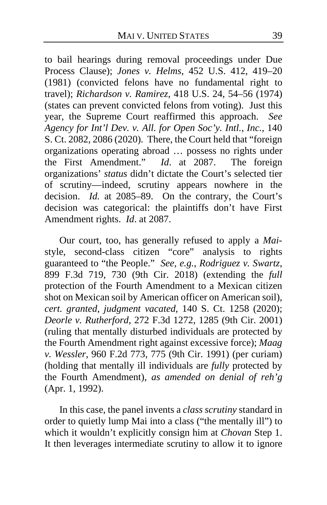to bail hearings during removal proceedings under Due Process Clause); *Jones v. Helms*, 452 U.S. 412, 419–20 (1981) (convicted felons have no fundamental right to travel); *Richardson v. Ramirez*, 418 U.S. 24, 54–56 (1974) (states can prevent convicted felons from voting). Just this year, the Supreme Court reaffirmed this approach. *See Agency for Int'l Dev. v. All. for Open Soc'y. Intl., Inc.*, 140 S. Ct. 2082, 2086 (2020). There, the Court held that "foreign organizations operating abroad ... possess no rights under<br>the First Amendment." *Id.* at 2087. The foreign the First Amendment." *Id.* at 2087. organizations' *status* didn't dictate the Court's selected tier of scrutiny—indeed, scrutiny appears nowhere in the decision. *Id.* at 2085–89. On the contrary, the Court's decision was categorical: the plaintiffs don't have First Amendment rights. *Id*. at 2087.

Our court, too, has generally refused to apply a *Mai*style, second-class citizen "core" analysis to rights guaranteed to "the People." *See, e.g.*, *Rodriguez v. Swartz*, 899 F.3d 719, 730 (9th Cir. 2018) (extending the *full* protection of the Fourth Amendment to a Mexican citizen shot on Mexican soil by American officer on American soil), *cert. granted, judgment vacated*, 140 S. Ct. 1258 (2020); *Deorle v. Rutherford*, 272 F.3d 1272, 1285 (9th Cir. 2001) (ruling that mentally disturbed individuals are protected by the Fourth Amendment right against excessive force); *Maag v. Wessler*, 960 F.2d 773, 775 (9th Cir. 1991) (per curiam) (holding that mentally ill individuals are *fully* protected by the Fourth Amendment), *as amended on denial of reh'g* (Apr. 1, 1992).

In this case, the panel invents a *class scrutiny* standard in order to quietly lump Mai into a class ("the mentally ill") to which it wouldn't explicitly consign him at *Chovan* Step 1. It then leverages intermediate scrutiny to allow it to ignore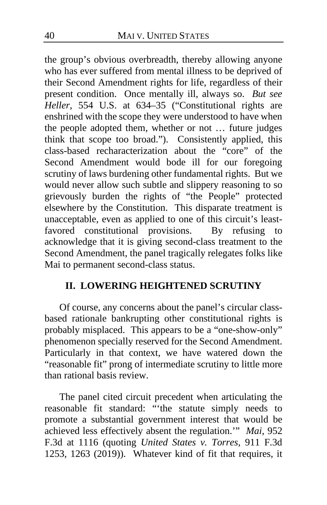the group's obvious overbreadth, thereby allowing anyone who has ever suffered from mental illness to be deprived of their Second Amendment rights for life, regardless of their present condition. Once mentally ill, always so. *But see Heller*, 554 U.S. at 634–35 ("Constitutional rights are enshrined with the scope they were understood to have when the people adopted them, whether or not … future judges think that scope too broad."). Consistently applied, this class-based recharacterization about the "core" of the Second Amendment would bode ill for our foregoing scrutiny of laws burdening other fundamental rights. But we would never allow such subtle and slippery reasoning to so grievously burden the rights of "the People" protected elsewhere by the Constitution. This disparate treatment is unacceptable, even as applied to one of this circuit's leastfavored constitutional provisions. By refusing to acknowledge that it is giving second-class treatment to the Second Amendment, the panel tragically relegates folks like Mai to permanent second-class status.

## **II. LOWERING HEIGHTENED SCRUTINY**

Of course, any concerns about the panel's circular classbased rationale bankrupting other constitutional rights is probably misplaced. This appears to be a "one-show-only" phenomenon specially reserved for the Second Amendment. Particularly in that context, we have watered down the "reasonable fit" prong of intermediate scrutiny to little more than rational basis review.

The panel cited circuit precedent when articulating the reasonable fit standard: "'the statute simply needs to promote a substantial government interest that would be achieved less effectively absent the regulation.'" *Mai*, 952 F.3d at 1116 (quoting *United States v. Torres*, 911 F.3d 1253, 1263 (2019)). Whatever kind of fit that requires, it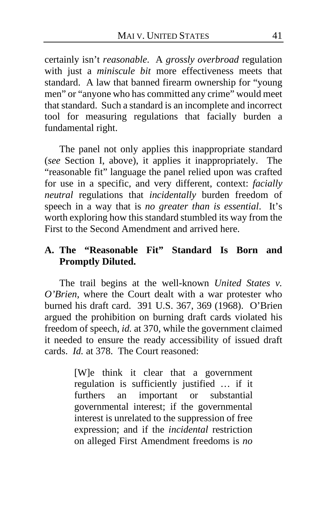certainly isn't *reasonable*. A *grossly overbroad* regulation with just a *miniscule bit* more effectiveness meets that standard. A law that banned firearm ownership for "young men" or "anyone who has committed any crime" would meet that standard. Such a standard is an incomplete and incorrect tool for measuring regulations that facially burden a fundamental right.

The panel not only applies this inappropriate standard (*see* Section I, above), it applies it inappropriately. The "reasonable fit" language the panel relied upon was crafted for use in a specific, and very different, context: *facially neutral* regulations that *incidentally* burden freedom of speech in a way that is *no greater than is essential*. It's worth exploring how this standard stumbled its way from the First to the Second Amendment and arrived here.

## **A. The "Reasonable Fit" Standard Is Born and Promptly Diluted.**

The trail begins at the well-known *United States v. O'Brien*, where the Court dealt with a war protester who burned his draft card. 391 U.S. 367, 369 (1968). O'Brien argued the prohibition on burning draft cards violated his freedom of speech, *id.* at 370, while the government claimed it needed to ensure the ready accessibility of issued draft cards. *Id.* at 378. The Court reasoned:

> [W]e think it clear that a government regulation is sufficiently justified … if it furthers an important or substantial governmental interest; if the governmental interest is unrelated to the suppression of free expression; and if the *incidental* restriction on alleged First Amendment freedoms is *no*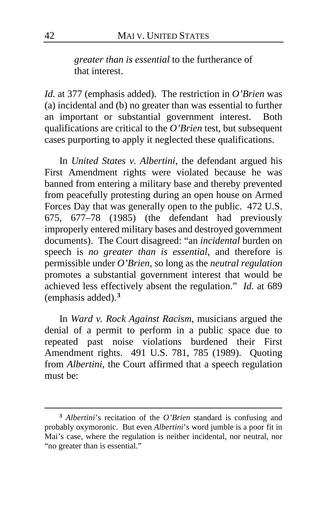*greater than is essential* to the furtherance of that interest.

*Id.* at 377 (emphasis added). The restriction in *O'Brien* was (a) incidental and (b) no greater than was essential to further an important or substantial government interest. Both qualifications are critical to the *O'Brien* test, but subsequent cases purporting to apply it neglected these qualifications.

In *United States v. Albertini*, the defendant argued his First Amendment rights were violated because he was banned from entering a military base and thereby prevented from peacefully protesting during an open house on Armed Forces Day that was generally open to the public. 472 U.S. 675, 677–78 (1985) (the defendant had previously improperly entered military bases and destroyed government documents). The Court disagreed: "an *incidental* burden on speech is *no greater than is essential*, and therefore is permissible under *O'Brien,* so long as the *neutral regulation* promotes a substantial government interest that would be achieved less effectively absent the regulation." *Id.* at 689 (emphasis added).**[3](#page-41-0)**

In *Ward v. Rock Against Racism*, musicians argued the denial of a permit to perform in a public space due to repeated past noise violations burdened their First Amendment rights. 491 U.S. 781, 785 (1989). Quoting from *Albertini*, the Court affirmed that a speech regulation must be:

<span id="page-41-0"></span>**<sup>3</sup>** *Albertini*'s recitation of the *O'Brien* standard is confusing and probably oxymoronic. But even *Albertini*'s word jumble is a poor fit in Mai's case, where the regulation is neither incidental, nor neutral, nor "no greater than is essential."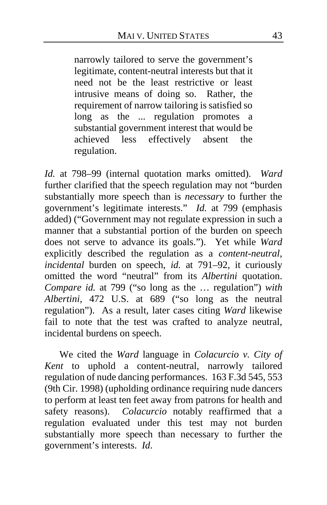narrowly tailored to serve the government's legitimate, content-neutral interests but that it need not be the least restrictive or least intrusive means of doing so. Rather, the requirement of narrow tailoring is satisfied so long as the ... regulation promotes a substantial government interest that would be achieved less effectively absent the regulation.

*Id.* at 798–99 (internal quotation marks omitted). *Ward* further clarified that the speech regulation may not "burden substantially more speech than is *necessary* to further the government's legitimate interests." *Id.* at 799 (emphasis added) ("Government may not regulate expression in such a manner that a substantial portion of the burden on speech does not serve to advance its goals."). Yet while *Ward* explicitly described the regulation as a *content-neutral*, *incidental* burden on speech, *id.* at 791–92, it curiously omitted the word "neutral" from its *Albertini* quotation. *Compare id.* at 799 ("so long as the … regulation") *with Albertini*, 472 U.S. at 689 ("so long as the neutral regulation"). As a result, later cases citing *Ward* likewise fail to note that the test was crafted to analyze neutral, incidental burdens on speech.

We cited the *Ward* language in *Colacurcio v. City of Kent* to uphold a content-neutral, narrowly tailored regulation of nude dancing performances. 163 F.3d 545, 553 (9th Cir. 1998) (upholding ordinance requiring nude dancers to perform at least ten feet away from patrons for health and safety reasons). *Colacurcio* notably reaffirmed that a regulation evaluated under this test may not burden substantially more speech than necessary to further the government's interests. *Id*.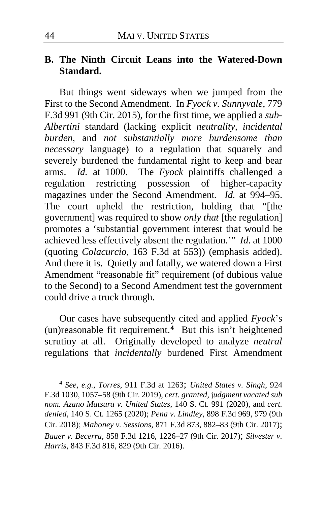## **B. The Ninth Circuit Leans into the Watered-Down Standard.**

But things went sideways when we jumped from the First to the Second Amendment. In *Fyock v. Sunnyvale*, 779 F.3d 991 (9th Cir. 2015), for the first time, we applied a *sub-Albertini* standard (lacking explicit *neutrality*, *incidental burden*, and *not substantially more burdensome than necessary* language) to a regulation that squarely and severely burdened the fundamental right to keep and bear arms. *Id.* at 1000. The *Fyock* plaintiffs challenged a regulation restricting possession of higher-capacity magazines under the Second Amendment. *Id.* at 994–95. The court upheld the restriction, holding that "[the government] was required to show *only that* [the regulation] promotes a 'substantial government interest that would be achieved less effectively absent the regulation.'" *Id.* at 1000 (quoting *Colacurcio*, 163 F.3d at 553)) (emphasis added). And there it is. Quietly and fatally, we watered down a First Amendment "reasonable fit" requirement (of dubious value to the Second) to a Second Amendment test the government could drive a truck through.

Our cases have subsequently cited and applied *Fyock*'s (un)reasonable fit requirement.**[4](#page-43-0)** But this isn't heightened scrutiny at all. Originally developed to analyze *neutral* regulations that *incidentally* burdened First Amendment

<span id="page-43-0"></span>**<sup>4</sup>** *See, e.g.*, *Torres*, 911 F.3d at 1263; *United States v. Singh*, 924 F.3d 1030, 1057–58 (9th Cir. 2019), *cert. granted*, j*udgment vacated sub nom. Azano Matsura v. United States*, 140 S. Ct. 991 (2020), and *cert. denied*, 140 S. Ct. 1265 (2020); *Pena v. Lindley*, 898 F.3d 969, 979 (9th Cir. 2018); *Mahoney v. Sessions*, 871 F.3d 873, 882–83 (9th Cir. 2017); *Bauer v. Becerra*, 858 F.3d 1216, 1226–27 (9th Cir. 2017); *Silvester v. Harris*, 843 F.3d 816, 829 (9th Cir. 2016).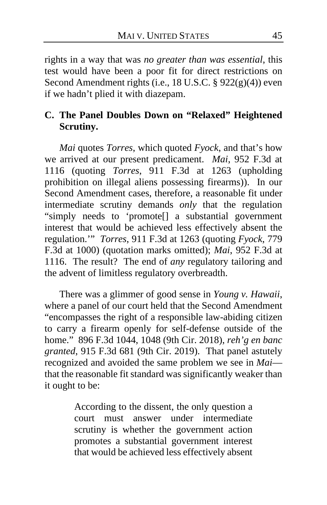rights in a way that was *no greater than was essential*, this test would have been a poor fit for direct restrictions on Second Amendment rights (i.e., 18 U.S.C. § 922(g)(4)) even if we hadn't plied it with diazepam.

## **C. The Panel Doubles Down on "Relaxed" Heightened Scrutiny.**

*Mai* quotes *Torres*, which quoted *Fyock*, and that's how we arrived at our present predicament. *Mai*, 952 F.3d at 1116 (quoting *Torres*, 911 F.3d at 1263 (upholding prohibition on illegal aliens possessing firearms)). In our Second Amendment cases, therefore, a reasonable fit under intermediate scrutiny demands *only* that the regulation "simply needs to 'promote[] a substantial government interest that would be achieved less effectively absent the regulation.'" *Torres*, 911 F.3d at 1263 (quoting *Fyock*, 779 F.3d at 1000) (quotation marks omitted); *Mai*, 952 F.3d at 1116. The result? The end of *any* regulatory tailoring and the advent of limitless regulatory overbreadth.

There was a glimmer of good sense in *Young v. Hawaii*, where a panel of our court held that the Second Amendment "encompasses the right of a responsible law-abiding citizen to carry a firearm openly for self-defense outside of the home." 896 F.3d 1044, 1048 (9th Cir. 2018), *reh'g en banc granted*, 915 F.3d 681 (9th Cir. 2019). That panel astutely recognized and avoided the same problem we see in *Mai* that the reasonable fit standard was significantly weaker than it ought to be:

> According to the dissent, the only question a court must answer under intermediate scrutiny is whether the government action promotes a substantial government interest that would be achieved less effectively absent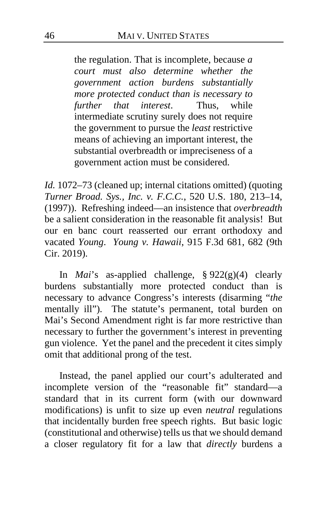the regulation. That is incomplete, because *a court must also determine whether the government action burdens substantially more protected conduct than is necessary to further that interest*. Thus, while intermediate scrutiny surely does not require the government to pursue the *least* restrictive means of achieving an important interest, the substantial overbreadth or impreciseness of a government action must be considered.

*Id.* 1072–73 (cleaned up; internal citations omitted) (quoting *Turner Broad. Sys., Inc. v. F.C.C.*, 520 U.S. 180, 213–14, (1997)). Refreshing indeed—an insistence that *overbreadth* be a salient consideration in the reasonable fit analysis! But our en banc court reasserted our errant orthodoxy and vacated *Young*. *Young v. Hawaii*, 915 F.3d 681, 682 (9th Cir. 2019).

In *Mai*'s as-applied challenge, § 922(g)(4) clearly burdens substantially more protected conduct than is necessary to advance Congress's interests (disarming "*the* mentally ill"). The statute's permanent, total burden on Mai's Second Amendment right is far more restrictive than necessary to further the government's interest in preventing gun violence. Yet the panel and the precedent it cites simply omit that additional prong of the test.

<span id="page-45-0"></span>Instead, the panel applied our court's adulterated and incomplete version of the "reasonable fit" standard—a standard that in its current form (with our downward modifications) is unfit to size up even *neutral* regulations that incidentally burden free speech rights. But basic logic (constitutional and otherwise) tells us that we should demand a closer regulatory fit for a law that *directly* burdens a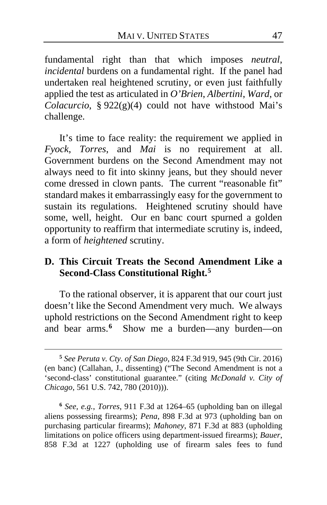fundamental right than that which imposes *neutral*, *incidental* burdens on a fundamental right. If the panel had undertaken real heightened scrutiny, or even just faithfully applied the test as articulated in *O'Brien*, *Albertini*, *Ward*, or *Colacurcio*, § 922(g)(4) could not have withstood Mai's challenge.

It's time to face reality: the requirement we applied in *Fyock*, *Torres*, and *Mai* is no requirement at all. Government burdens on the Second Amendment may not always need to fit into skinny jeans, but they should never come dressed in clown pants. The current "reasonable fit" standard makes it embarrassingly easy for the government to sustain its regulations. Heightened scrutiny should have some, well, height. Our en banc court spurned a golden opportunity to reaffirm that intermediate scrutiny is, indeed, a form of *heightened* scrutiny.

## **D. This Circuit Treats the Second Amendment Like a Second-Class Constitutional Right.[5](#page-46-0)**

To the rational observer, it is apparent that our court just doesn't like the Second Amendment very much. We always uphold restrictions on the Second Amendment right to keep and bear arms.**[6](#page-46-1)** Show me a burden—any burden—on

<span id="page-46-1"></span>**<sup>6</sup>** *See, e.g.*, *Torres*, 911 F.3d at 1264–65 (upholding ban on illegal aliens possessing firearms); *Pena*, 898 F.3d at 973 (upholding ban on purchasing particular firearms); *Mahoney*, 871 F.3d at 883 (upholding limitations on police officers using department-issued firearms); *Bauer*, 858 F.3d at 1227 (upholding use of firearm sales fees to fund

<span id="page-46-0"></span>**<sup>5</sup>** *See Peruta v. Cty. of San Diego*, 824 F.3d 919, 945 (9th Cir. 2016) (en banc) (Callahan, J., dissenting) ("The Second Amendment is not a 'second-class' constitutional guarantee." (citing *McDonald v. City of Chicago*, 561 U.S. 742, 780 (2010))).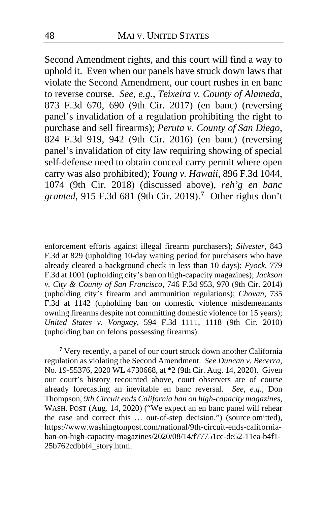Second Amendment rights, and this court will find a way to uphold it. Even when our panels have struck down laws that violate the Second Amendment, our court rushes in en banc to reverse course. *See, e.g.*, *Teixeira v. County of Alameda*, 873 F.3d 670, 690 (9th Cir. 2017) (en banc) (reversing panel's invalidation of a regulation prohibiting the right to purchase and sell firearms); *Peruta v. County of San Diego*, 824 F.3d 919, 942 (9th Cir. 2016) (en banc) (reversing panel's invalidation of city law requiring showing of special self-defense need to obtain conceal carry permit where open carry was also prohibited); *Young v. Hawaii*, 896 F.3d 1044, 1074 (9th Cir. 2018) (discussed above), *reh'g en banc granted*, 915 F.3d 681 (9th Cir. 2019).**[7](#page-47-0)** Other rights don't

<span id="page-47-0"></span>**<sup>7</sup>** Very recently, a panel of our court struck down another California regulation as violating the Second Amendment. *See Duncan v. Becerra*, No. 19-55376, 2020 WL 4730668, at \*2 (9th Cir. Aug. 14, 2020). Given our court's history recounted above, court observers are of course already forecasting an inevitable en banc reversal. *See*, *e.g.*, Don Thompson, *9th Circuit ends California ban on high-capacity magazines*, WASH. POST (Aug. 14, 2020) ("We expect an en banc panel will rehear the case and correct this … out-of-step decision.") (source omitted), https://www.washingtonpost.com/national/9th-circuit-ends-californiaban-on-high-capacity-magazines/2020/08/14/f77751cc-de52-11ea-b4f1- 25b762cdbbf4\_story.html.

enforcement efforts against illegal firearm purchasers); *Silvester*, 843 F.3d at 829 (upholding 10-day waiting period for purchasers who have already cleared a background check in less than 10 days); *Fyock*, 779 F.3d at 1001 (upholding city's ban on high-capacity magazines); *Jackson v. City & County of San Francisco*, 746 F.3d 953, 970 (9th Cir. 2014) (upholding city's firearm and ammunition regulations); *Chovan*, 735 F.3d at 1142 (upholding ban on domestic violence misdemeanants owning firearms despite not committing domestic violence for 15 years); *United States v. Vongxay*, 594 F.3d 1111, 1118 (9th Cir. 2010) (upholding ban on felons possessing firearms).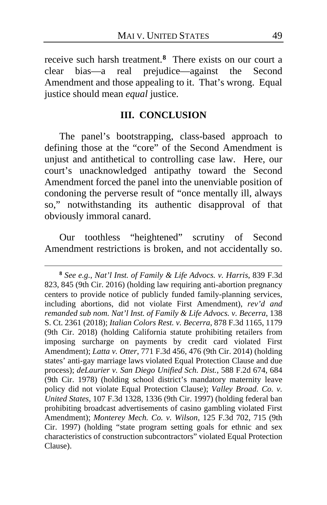receive such harsh treatment.**[8](#page-48-0)** There exists on our court a clear bias—a real prejudice—against the Second Amendment and those appealing to it. That's wrong. Equal justice should mean *equal* justice.

### **III. CONCLUSION**

The panel's bootstrapping, class-based approach to defining those at the "core" of the Second Amendment is unjust and antithetical to controlling case law. Here, our court's unacknowledged antipathy toward the Second Amendment forced the panel into the unenviable position of condoning the perverse result of "once mentally ill, always so," notwithstanding its authentic disapproval of that obviously immoral canard.

Our toothless "heightened" scrutiny of Second Amendment restrictions is broken, and not accidentally so.

<span id="page-48-0"></span>**<sup>8</sup>** *See e.g.*, *Nat'l Inst. of Family & Life Advocs. v. Harris*, 839 F.3d 823, 845 (9th Cir. 2016) (holding law requiring anti-abortion pregnancy centers to provide notice of publicly funded family-planning services, including abortions, did not violate First Amendment), *rev'd and remanded sub nom. Nat'l Inst. of Family & Life Advocs. v. Becerra*, 138 S. Ct. 2361 (2018); *Italian Colors Rest. v. Becerra*, 878 F.3d 1165, 1179 (9th Cir. 2018) (holding California statute prohibiting retailers from imposing surcharge on payments by credit card violated First Amendment); *Latta v. Otter*, 771 F.3d 456, 476 (9th Cir. 2014) (holding states' anti-gay marriage laws violated Equal Protection Clause and due process); *deLaurier v. San Diego Unified Sch. Dist.*, 588 F.2d 674, 684 (9th Cir. 1978) (holding school district's mandatory maternity leave policy did not violate Equal Protection Clause); *Valley Broad. Co. v. United States*, 107 F.3d 1328, 1336 (9th Cir. 1997) (holding federal ban prohibiting broadcast advertisements of casino gambling violated First Amendment); *Monterey Mech. Co. v. Wilson*, 125 F.3d 702, 715 (9th Cir. 1997) (holding "state program setting goals for ethnic and sex characteristics of construction subcontractors" violated Equal Protection Clause).